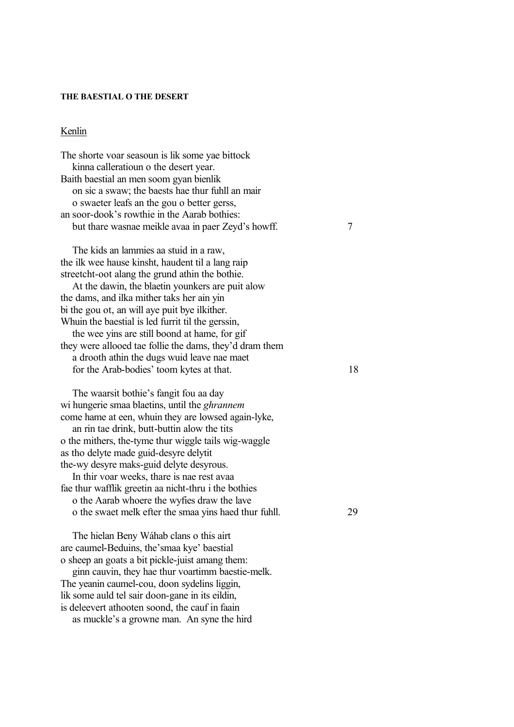#### **THE BAESTIAL O THE DESERT**

## Kenlin

The shorte voar seasoun is lik some yae bittock kinna calleratioun o the desert year. Baith baestial an men soom gyan bienlik on sic a swaw; the baests hae thur fuhll an mair o swaeter leafs an the gou o better gerss, an soor-dook's rowthie in the Aarab bothies: but thare wasnae meikle avaa in paer Zeyd's howff.  $\frac{7}{2}$ 

The kids an lammies aa stuid in a raw, the ilk wee hause kinsht, haudent til a lang raip streetcht-oot alang the grund athin the bothie. At the dawin, the blaetin younkers are puit alow the dams, and ilka mither taks her ain yin bi the gou ot, an will aye puit bye ilkither. Whuin the baestial is led furrit til the gerssin, the wee yins are still boond at hame, for gif they were allooed tae follie the dams, they'd dram them a drooth athin the dugs wuid leave nae maet for the Arab-bodies' toom kytes at that. 18

The waarsit bothie's fangit fou aa day wi hungerie smaa blaetins, until the *ghrannem* come hame at een, whuin they are lowsed again-lyke, an rin tae drink, butt-buttin alow the tits o the mithers, the-tyme thur wiggle tails wig-waggle as tho delyte made guid-desyre delytit the-wy desyre maks-guid delyte desyrous. In thir voar weeks, thare is nae rest avaa

fae thur wafflik greetin aa nicht-thru i the bothies o the Aarab whoere the wyfies draw the lave o the swaet melk efter the smaa yins haed thur fuhll. 29

The hielan Beny Wáhab clans o this airt are caumel-Beduins, the'smaa kye' baestial o sheep an goats a bit pickle-juist amang them: ginn cauvin, they hae thur voartimm baestie-melk. The yeanin caumel-cou, doon sydelins liggin, lik some auld tel sair doon-gane in its eildin, is deleevert athooten soond, the cauf in faain as muckle's a growne man. An syne the hird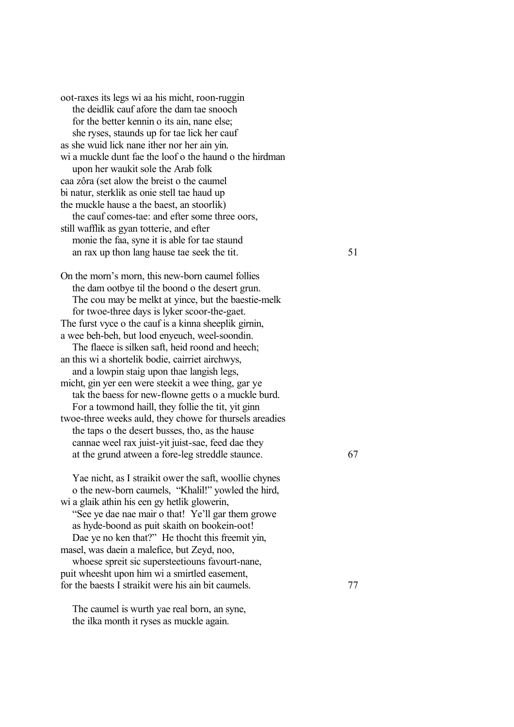oot-raxes its legs wi aa his micht, roon-ruggin the deidlik cauf afore the dam tae snooch for the better kennin o its ain, nane else; she ryses, staunds up for tae lick her cauf as she wuid lick nane ither nor her ain yin. wi a muckle dunt fae the loof o the haund o the hirdman upon her waukit sole the Arab folk caa zôra (set alow the breist o the caumel bi natur, sterklik as onie stell tae haud up the muckle hause a the baest, an stoorlik) the cauf comes-tae: and efter some three oors, still wafflik as gyan totterie, and efter monie the faa, syne it is able for tae staund an rax up thon lang hause tae seek the tit. 51

On the morn's morn, this new-born caumel follies the dam ootbye til the boond o the desert grun. The cou may be melkt at yince, but the baestie-melk for twoe-three days is lyker scoor-the-gaet. The furst vyce o the cauf is a kinna sheeplik girnin, a wee beh-beh, but lood enyeuch, weel-soondin. The flaece is silken saft, heid roond and heech; an this wi a shortelik bodie, cairriet airchwys, and a lowpin staig upon thae langish legs, micht, gin yer een were steekit a wee thing, gar ye tak the baess for new-flowne getts o a muckle burd. For a towmond haill, they follie the tit, yit ginn twoe-three weeks auld, they chowe for thursels areadies the taps o the desert busses, tho, as the hause cannae weel rax juist-yit juist-sae, feed dae they at the grund atween a fore-leg streddle staunce. 67

Yae nicht, as I straikit ower the saft, woollie chynes o the new-born caumels, "Khalil!" yowled the hird, wi a glaik athin his een gy hetlik glowerin, "See ye dae nae mair o that! Ye'll gar them growe as hyde-boond as puit skaith on bookein-oot! Dae ye no ken that?" He thocht this freemit yin, masel, was daein a malefice, but Zeyd, noo,

whoese spreit sic supersteetiouns favourt-nane, puit wheesht upon him wi a smirtled easement, for the baests I straikit were his ain bit caumels. 77

The caumel is wurth yae real born, an syne, the ilka month it ryses as muckle again.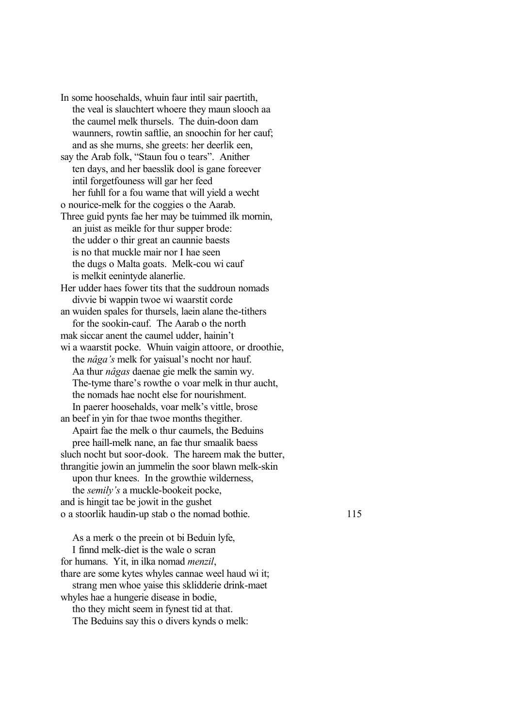In some hoosehalds, whuin faur intil sair paertith, the veal is slauchtert whoere they maun slooch aa the caumel melk thursels. The duin-doon dam waunners, rowtin saftlie, an snoochin for her cauf; and as she murns, she greets: her deerlik een, say the Arab folk, "Staun fou o tears". Anither ten days, and her baesslik dool is gane foreever intil forgetfouness will gar her feed her fuhll for a fou wame that will yield a wecht o nourice-melk for the coggies o the Aarab. Three guid pynts fae her may be tuimmed ilk mornin,

an juist as meikle for thur supper brode: the udder o thir great an caunnie baests is no that muckle mair nor I hae seen the dugs o Malta goats. Melk-cou wi cauf is melkit eenintyde alanerlie.

Her udder haes fower tits that the suddroun nomads divvie bi wappin twoe wi waarstit corde

an wuiden spales for thursels, laein alane the-tithers for the sookin-cauf. The Aarab o the north

mak siccar anent the caumel udder, hainin't wi a waarstit pocke. Whuin vaigin attoore, or droothie, the *nÄga's* melk for yaisual's nocht nor hauf. Aa thur *nÄgas* daenae gie melk the samin wy. The-tyme thare's rowthe o voar melk in thur aucht, the nomads hae nocht else for nourishment. In paerer hoosehalds, voar melk's vittle, brose an beef in yin for thae twoe months thegither.

Apairt fae the melk o thur caumels, the Beduins pree haill-melk nane, an fae thur smaalik baess sluch nocht but soor-dook. The hareem mak the butter, thrangitie jowin an jummelin the soor blawn melk-skin upon thur knees. In the growthie wilderness, the *semily's* a muckle-bookeit pocke,

and is hingit tae be jowit in the gushet o a stoorlik haudin-up stab o the nomad bothie. 115

As a merk o the preein ot bi Beduin lyfe, I finnd melk-diet is the wale o scran for humans. Yit, in ilka nomad *menzil*, thare are some kytes whyles cannae weel haud wi it; strang men whoe yaise this sklidderie drink-maet whyles hae a hungerie disease in bodie, tho they micht seem in fynest tid at that. The Beduins say this o divers kynds o melk: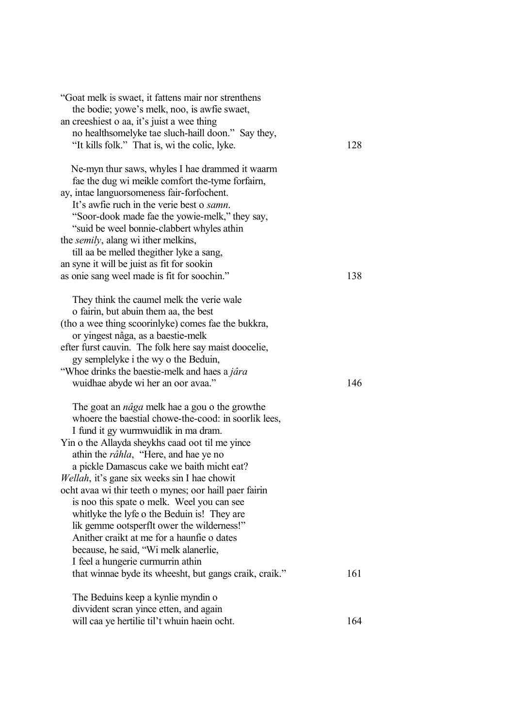| "Goat melk is swaet, it fattens mair nor strenthens<br>the bodie; yowe's melk, noo, is awfie swaet, |     |
|-----------------------------------------------------------------------------------------------------|-----|
| an creeshiest o aa, it's juist a wee thing                                                          |     |
| no healthsomelyke tae sluch-haill doon." Say they,                                                  |     |
| "It kills folk." That is, wi the colic, lyke.                                                       | 128 |
| Ne-myn thur saws, whyles I hae drammed it waarm                                                     |     |
| fae the dug wi meikle comfort the-tyme forfairn,                                                    |     |
| ay, intae languorsomeness fair-forfochent.                                                          |     |
| It's awfie ruch in the verie best o samn.                                                           |     |
| "Soor-dook made fae the yowie-melk," they say,                                                      |     |
| "suid be weel bonnie-clabbert whyles athin                                                          |     |
| the <i>semily</i> , alang wi ither melkins,                                                         |     |
| till aa be melled thegither lyke a sang,                                                            |     |
| an syne it will be juist as fit for sookin                                                          |     |
| as onie sang weel made is fit for soochin."                                                         | 138 |
| They think the caumel melk the verie wale                                                           |     |
| o fairin, but abuin them aa, the best                                                               |     |
| (tho a wee thing scoorinlyke) comes fae the bukkra,                                                 |     |
| or yingest nâga, as a baestie-melk                                                                  |     |
| efter furst cauvin. The folk here say maist doocelie,                                               |     |
| gy semplelyke i the wy o the Beduin,                                                                |     |
| "Whoe drinks the baestie-melk and haes a <i>jâra</i>                                                |     |
| wuidhae abyde wi her an oor avaa."                                                                  | 146 |
| The goat an <i>nâga</i> melk hae a gou o the growthe                                                |     |
| whoere the baestial chowe-the-cood: in soorlik lees,                                                |     |
| I fund it gy wurmwuidlik in ma dram.                                                                |     |
| Yin o the Allayda sheykhs caad oot til me yince                                                     |     |
| athin the <i>râhla</i> , "Here, and hae ye no                                                       |     |
| a pickle Damascus cake we baith micht eat?                                                          |     |
| <i>Wellah</i> , it's gane six weeks sin I hae chowit                                                |     |
| ocht avaa wi thir teeth o mynes; oor haill paer fairin                                              |     |
| is noo this spate o melk. Weel you can see                                                          |     |
| whitlyke the lyfe o the Beduin is! They are                                                         |     |
| lik gemme ootsperflt ower the wilderness!"                                                          |     |
| Anither craikt at me for a haunfie o dates                                                          |     |
| because, he said, "Wi melk alanerlie,                                                               |     |
| I feel a hungerie curmurrin athin                                                                   |     |
| that winnae byde its wheesht, but gangs craik, craik."                                              | 161 |
| The Beduins keep a kynlie myndin o                                                                  |     |
| divvident scran yince etten, and again                                                              |     |
| will caa ye hertilie til't whuin haein ocht.                                                        | 164 |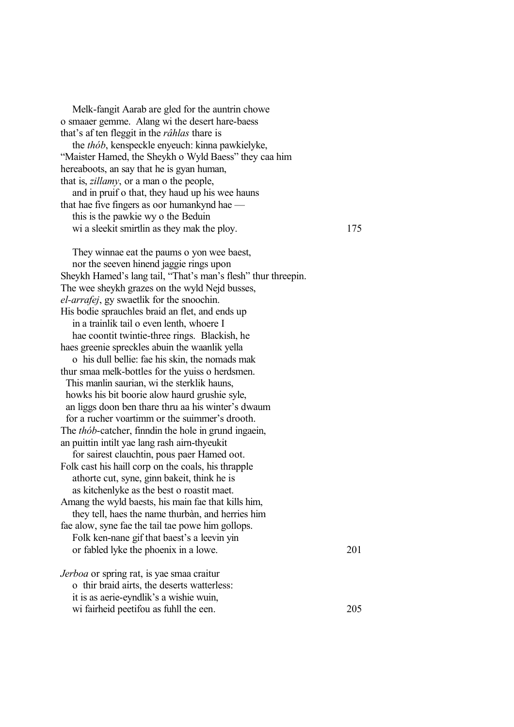Melk-fangit Aarab are gled for the auntrin chowe o smaaer gemme. Alang wi the desert hare-baess that's af ten fleggit in the *rÄhlas* thare is the *thób*, kenspeckle enyeuch: kinna pawkielyke, "Maister Hamed, the Sheykh o Wyld Baess" they caa him hereaboots, an say that he is gyan human, that is, *zillamy*, or a man o the people, and in pruif o that, they haud up his wee hauns that hae five fingers as oor humankynd hae this is the pawkie wy o the Beduin wi a sleekit smirtlin as they mak the ploy. 175 They winnae eat the paums o yon wee baest, nor the seeven hinend jaggie rings upon Sheykh Hamed's lang tail, "That's man's flesh" thur threepin.

The wee sheykh grazes on the wyld Nejd busses, *el-arrafej*, gy swaetlik for the snoochin. His bodie sprauchles braid an flet, and ends up in a trainlik tail o even lenth, whoere I hae coontit twintie-three rings. Blackish, he haes greenie spreckles abuin the waanlik yella o his dull bellie: fae his skin, the nomads mak thur smaa melk-bottles for the yuiss o herdsmen. This manlin saurian, wi the sterklik hauns, howks his bit boorie alow haurd grushie syle, an liggs doon ben thare thru aa his winter's dwaum for a rucher voartimm or the suimmer's drooth. The *thôb*-catcher, finndin the hole in grund ingaein, an puittin intilt yae lang rash airn-thyeukit for sairest clauchtin, pous paer Hamed oot. Folk cast his haill corp on the coals, his thrapple athorte cut, syne, ginn bakeit, think he is as kitchenlyke as the best o roastit maet. Amang the wyld baests, his main fae that kills him, they tell, haes the name thurbán, and herries him fae alow, syne fae the tail tae powe him gollops. Folk ken-nane gif that baest's a leevin yin or fabled lyke the phoenix in a lowe. 201 *Jerboa* or spring rat, is yae smaa craitur o thir braid airts, the deserts watterless:

it is as aerie-eyndlik's a wishie wuin, wi fairheid peetifou as fuhll the een. 205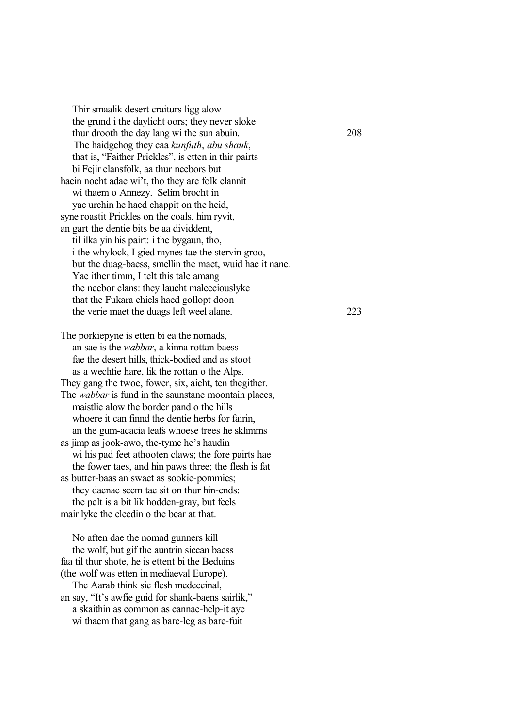Thir smaalik desert craiturs ligg alow the grund i the daylicht oors; they never sloke thur drooth the day lang wi the sun abuin. 208 The haidgehog they caa *kunfuth*, *abu shauk*, that is, "Faither Prickles", is etten in thir pairts bi Fejir clansfolk, aa thur neebors but haein nocht adae wi't, tho they are folk clannit wi thaem o Annezy. Selím brocht in yae urchin he haed chappit on the heid, syne roastit Prickles on the coals, him ryvit, an gart the dentie bits be aa dividdent, til ilka yin his pairt: i the bygaun, tho, i the whylock, I gied mynes tae the stervin groo, but the duag-baess, smellin the maet, wuid hae it nane. Yae ither timm, I telt this tale amang the neebor clans: they laucht maleeciouslyke that the Fukara chiels haed gollopt doon the verie maet the duags left weel alane. 223

The porkiepyne is etten bi ea the nomads, an sae is the *wabbar*, a kinna rottan baess fae the desert hills, thick-bodied and as stoot as a wechtie hare, lik the rottan o the Alps. They gang the twoe, fower, six, aicht, ten thegither. The *wabbar* is fund in the saunstane moontain places, maistlie alow the border pand o the hills whoere it can finnd the dentie herbs for fairin, an the gum-acacia leafs whoese trees he sklimms as jimp as jook-awo, the-tyme he's haudin wi his pad feet athooten claws; the fore pairts hae the fower taes, and hin paws three; the flesh is fat as butter-baas an swaet as sookie-pommies; they daenae seem tae sit on thur hin-ends: the pelt is a bit lik hodden-gray, but feels mair lyke the cleedin o the bear at that.

No aften dae the nomad gunners kill the wolf, but gif the auntrin siccan baess faa til thur shote, he is ettent bi the Beduins (the wolf was etten in mediaeval Europe). The Aarab think sic flesh medeecinal,

an say, "It's awfie guid for shank-baens sairlik," a skaithin as common as cannae-help-it aye wi thaem that gang as bare-leg as bare-fuit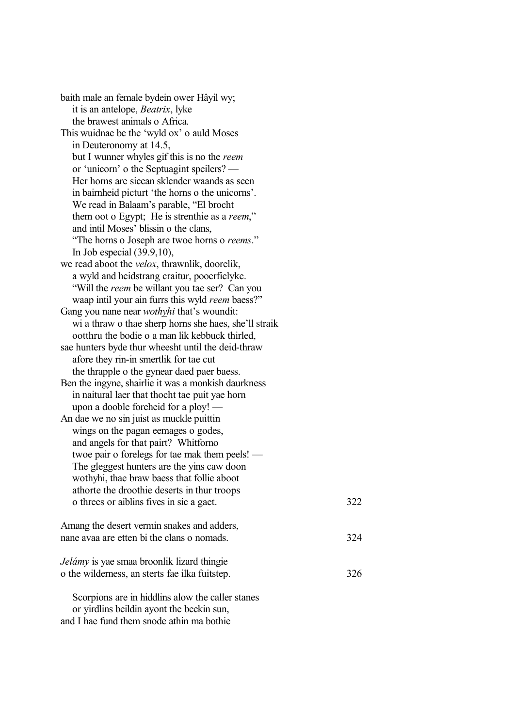baith male an female bydein ower Hâyil wy; it is an antelope, *Beatrix*, lyke the brawest animals o Africa. This wuidnae be the 'wyld ox' o auld Moses in Deuteronomy at 14.5, but I wunner whyles gif this is no the *reem* or 'unicorn' o the Septuagint speilers? — Her horns are siccan sklender waands as seen in bairnheid picturt 'the horns o the unicorns'. We read in Balaam's parable, "El brocht them oot o Egypt; He is strenthie as a *reem*," and intil Moses' blissin o the clans, "The horns o Joseph are twoe horns o *reems*." In Job especial (39.9,10), we read aboot the *velox*, thrawnlik, doorelik, a wyld and heidstrang craitur, pooerfielyke. "Will the *reem* be willant you tae ser? Can you waap intil your ain furrs this wyld *reem* baess?" Gang you nane near *wothyhi* that's woundit: wi a thraw o thae sherp horns she haes, she'll straik ootthru the bodie o a man lik kebbuck thirled, sae hunters byde thur wheesht until the deid-thraw afore they rin-in smertlik for tae cut the thrapple o the gynear daed paer baess. Ben the ingyne, shairlie it was a monkish daurkness in naitural laer that thocht tae puit yae horn upon a dooble foreheid for a ploy! — An dae we no sin juist as muckle puittin wings on the pagan eemages o godes. and angels for that pairt? Whitforno twoe pair o forelegs for tae mak them peels! — The gleggest hunters are the yins caw doon wothyhi, thae braw baess that follie aboot athorte the droothie deserts in thur troops o threes or aiblins fives in sic a gaet. 322 Amang the desert vermin snakes and adders, nane avaa are etten bi the clans o nomads. 324 *Jelámy* is yae smaa broonlik lizard thingie o the wilderness, an sterts fae ilka fuitstep. 326 Scorpions are in hiddlins alow the caller stanes or yirdlins beildin ayont the beekin sun,

and I hae fund them snode athin ma bothie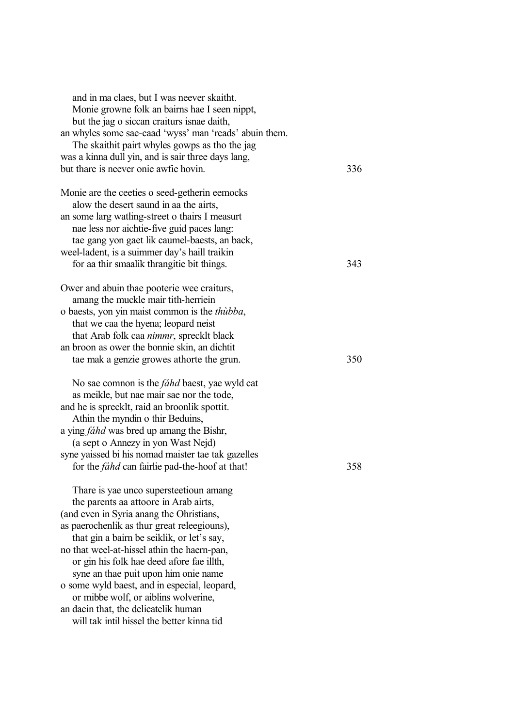| and in ma claes, but I was neever skaitht.<br>Monie growne folk an bairns hae I seen nippt,<br>but the jag o siccan craiturs is nae daith,<br>an whyles some sae-caad 'wyss' man 'reads' abuin them.<br>The skaithit pairt whyles gowps as tho the jag<br>was a kinna dull yin, and is sair three days lang,<br>but thare is neever onie awfie hovin.                                                                                                                                                                                      | 336 |
|--------------------------------------------------------------------------------------------------------------------------------------------------------------------------------------------------------------------------------------------------------------------------------------------------------------------------------------------------------------------------------------------------------------------------------------------------------------------------------------------------------------------------------------------|-----|
| Monie are the ceeties o seed-getherin eemocks<br>alow the desert saund in aa the airts,<br>an some larg watling-street o thairs I measurt<br>nae less nor aichtie-five guid paces lang:<br>tae gang yon gaet lik caumel-baests, an back,<br>weel-ladent, is a suimmer day's haill traikin<br>for aa thir smaalik thrangitie bit things.                                                                                                                                                                                                    | 343 |
| Ower and abuin thae pooterie wee craiturs,<br>amang the muckle mair tith-herriein<br>o baests, yon yin maist common is the <i>thubba</i> ,<br>that we caa the hyena; leopard neist<br>that Arab folk caa nimmr, sprecklt black<br>an broon as ower the bonnie skin, an dichtit<br>tae mak a genzie growes athorte the grun.                                                                                                                                                                                                                | 350 |
| No sae comnon is the <i>fahd</i> baest, yae wyld cat<br>as meikle, but nae mair sae nor the tode,<br>and he is sprecklt, raid an broonlik spottit.<br>Athin the myndin o thir Beduins,<br>a ying <i>fáhd</i> was bred up amang the Bishr,<br>(a sept o Annezy in yon Wast Nejd)<br>syne yaissed bi his nomad maister tae tak gazelles<br>for the <i>fahd</i> can fairlie pad-the-hoof at that!                                                                                                                                             | 358 |
| Thare is yae unco superstectioun amang<br>the parents aa attoore in Arab airts,<br>(and even in Syria anang the Ohristians,<br>as paerochenlik as thur great releegiouns),<br>that gin a bairn be seiklik, or let's say,<br>no that weel-at-hissel athin the haern-pan,<br>or gin his folk hae deed afore fae illth,<br>syne an thae puit upon him onie name<br>o some wyld baest, and in especial, leopard,<br>or mibbe wolf, or aiblins wolverine,<br>an daein that, the delicatelik human<br>will tak intil hissel the better kinna tid |     |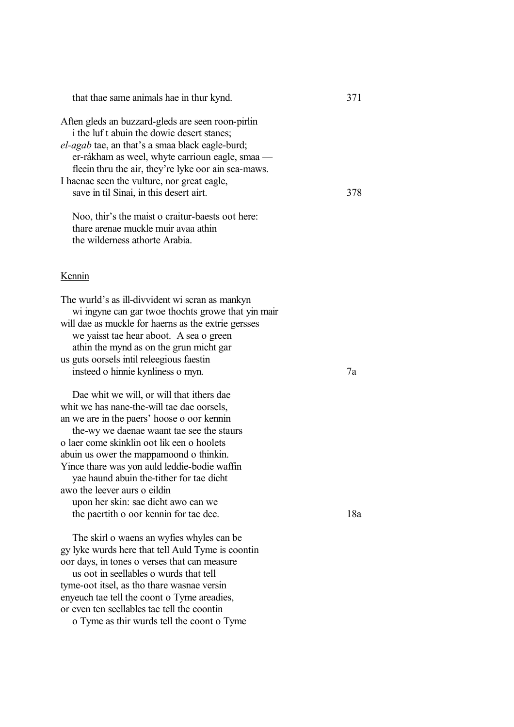that thae same animals hae in thur kynd. 371

Aften gleds an buzzard-gleds are seen roon-pirlin i the luf t abuin the dowie desert stanes; *el-agab* tae, an that's a smaa black eagle-burd; er-rákham as weel, whyte carrioun eagle, smaa fleein thru the air, they're lyke oor ain sea-maws. I haenae seen the vulture, nor great eagle, save in til Sinai, in this desert airt. 378

Noo, thir's the maist o craitur-baests oot here: thare arenae muckle muir avaa athin the wilderness athorte Arabia.

### Kennin

The wurld's as ill-divvident wi scran as mankyn wi ingyne can gar twoe thochts growe that yin mair will dae as muckle for haerns as the extrie gersses we yaisst tae hear aboot. A sea o green athin the mynd as on the grun micht gar us guts oorsels intil releegious faestin insteed o hinnie kynliness o myn. 7a

Dae whit we will, or will that ithers dae whit we has nane-the-will tae dae oorsels. an we are in the paers' hoose o oor kennin the-wy we daenae waant tae see the staurs o laer come skinklin oot lik een o hoolets abuin us ower the mappamoond o thinkin. Yince thare was yon auld leddie-bodie waffin yae haund abuin the-tither for tae dicht awo the leever aurs o eildin upon her skin: sae dicht awo can we the paertith o oor kennin for tae dee. 18a

The skirl o waens an wyfies whyles can be gy lyke wurds here that tell Auld Tyme is coontin oor days, in tones o verses that can measure us oot in seellables o wurds that tell tyme-oot itsel, as tho thare wasnae versin enyeuch tae tell the coont o Tyme areadies, or even ten seellables tae tell the coontin

o Tyme as thir wurds tell the coont o Tyme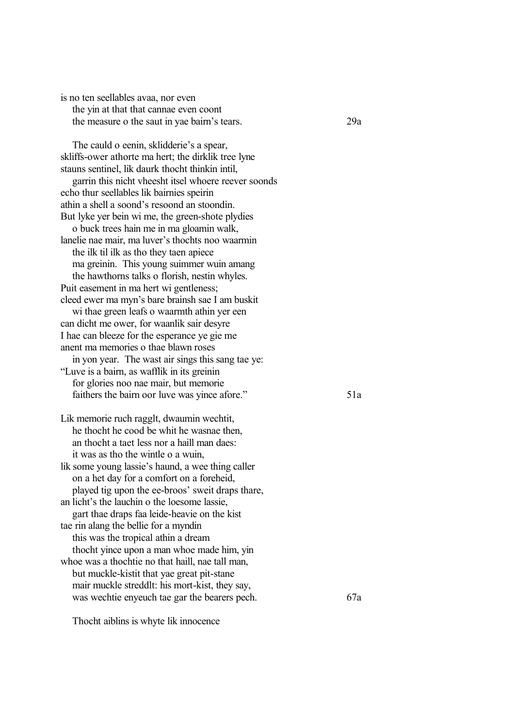is no ten seellables avaa, nor even the yin at that that cannae even coont the measure o the saut in yae bairn's tears. 29a

The cauld o eenin, sklidderie's a spear, skliffs-ower athorte ma hert; the dirklik tree lyne stauns sentinel, lik daurk thocht thinkin intil, garrin this nicht vheesht itsel whoere reever soonds echo thur seellables lik bairnies speirin athin a shell a soond's resoond an stoondin. But lyke yer bein wi me, the green-shote plydies o buck trees hain me in ma gloamin walk, lanelie nae mair, ma luver's thochts noo waarmin the ilk til ilk as tho they taen apiece ma greinin. This young suimmer wuin amang the hawthorns talks o florish, nestin whyles. Puit easement in ma hert wi gentleness; cleed ewer ma myn's bare brainsh sae I am buskit wi thae green leafs o waarmth athin yer een can dicht me ower, for waanlik sair desyre I hae can bleeze for the esperance ye gie me anent ma memories o thae blawn roses in yon year. The wast air sings this sang tae ye:

"Luve is a bairn, as wafflik in its greinin for glories noo nae mair, but memorie faithers the bairn oor luve was vince afore." 51a

Lik memorie ruch ragglt, dwaumin wechtit, he thocht he cood be whit he wasnae then, an thocht a taet less nor a haill man daes: it was as tho the wintle o a wuin,

lik some young lassie's haund, a wee thing caller on a het day for a comfort on a foreheid, played tig upon the ee-broos' sweit draps thare,

an licht's the lauchin o the loesome lassie, gart thae draps faa leide-heavie on the kist tae rin alang the bellie for a myndin this was the tropical athin a dream thocht yince upon a man whoe made him, yin whoe was a thochtie no that haill, nae tall man, but muckle-kistit that yae great pit-stane mair muckle streddlt: his mort-kist, they say,

Thocht aiblins is whyte lik innocence

was wechtie enyeuch tae gar the bearers pech. 67a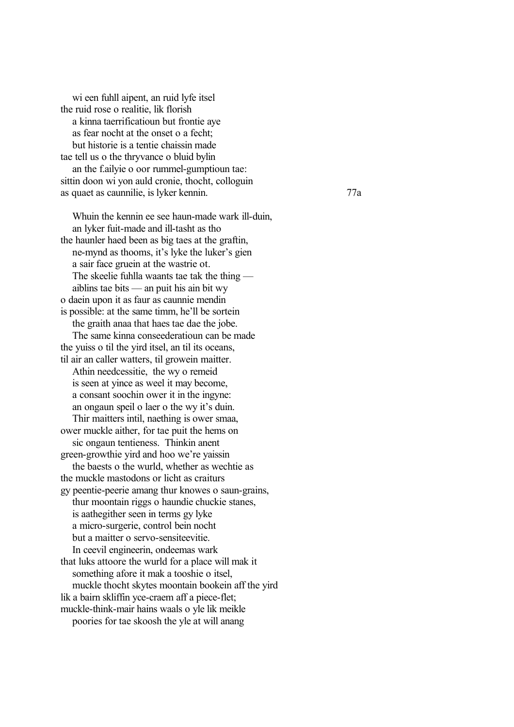wi een fuhll aipent, an ruid lyfe itsel the ruid rose o realitie, lik florish a kinna taerrificatioun but frontie aye as fear nocht at the onset o a fecht; but historie is a tentie chaissin made tae tell us o the thryvance o bluid bylin an the f.ailyie o oor rummel-gumptioun tae: sittin doon wi yon auld cronie, thocht, colloguin as quaet as caunnilie, is lyker kennin. 77a

Whuin the kennin ee see haun-made wark ill-duin, an lyker fuit-made and ill-tasht as tho the haunler haed been as big taes at the graftin, ne-mynd as thooms, it's lyke the luker's gien a sair face gruein at the wastrie ot. The skeelie fuhlla waants tae tak the thing aiblins tae bits — an puit his ain bit wy o daein upon it as faur as caunnie mendin is possible: at the same timm, he'll be sortein the graith anaa that haes tae dae the jobe. The same kinna conseederatioun can be made the yuiss o til the yird itsel, an til its oceans, til air an caller watters, til growein maitter. Athin needcessitie, the wy o remeid is seen at yince as weel it may become, a consant soochin ower it in the ingyne: an ongaun speil o laer o the wy it's duin. Thir maitters intil, naething is ower smaa, ower muckle aither, for tae puit the hems on sic ongaun tentieness. Thinkin anent green-growthie yird and hoo we're yaissin the baests o the wurld, whether as wechtie as the muckle mastodons or licht as craiturs gy peentie-peerie amang thur knowes o saun-grains, thur moontain riggs o haundie chuckie stanes, is aathegither seen in terms gy lyke a micro-surgerie, control bein nocht but a maitter o servo-sensiteevitie. In ceevil engineerin, ondeemas wark that luks attoore the wurld for a place will mak it something afore it mak a tooshie o itsel, muckle thocht skytes moontain bookein aff the yird lik a bairn skliffin yce-craem aff a piece-flet; muckle-think-mair hains waals o yle lik meikle poories for tae skoosh the yle at will anang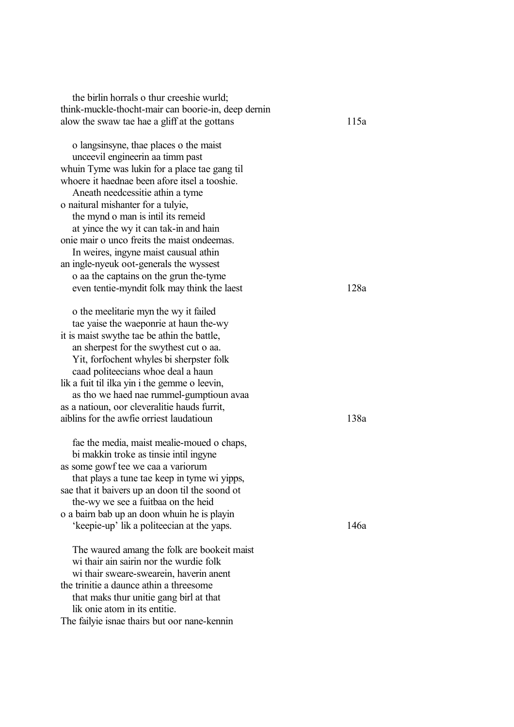the birlin horrals o thur creeshie wurld; think-muckle-thocht-mair can boorie-in, deep dernin alow the swaw tae hae a gliff at the gottans 115a o langsinsyne, thae places o the maist unceevil engineerin aa timm past whuin Tyme was lukin for a place tae gang til whoere it haednae been afore itsel a tooshie. Aneath needcessitie athin a tyme o naitural mishanter for a tulyie, the mynd o man is intil its remeid at yince the wy it can tak-in and hain onie mair o unco freits the maist ondeemas. In weires, ingyne maist causual athin an ingle-nyeuk oot-generals the wyssest o aa the captains on the grun the-tyme even tentie-myndit folk may think the laest 128a o the meelitarie myn the wy it failed tae yaise the waeponrie at haun the-wy it is maist swythe tae be athin the battle, an sherpest for the swythest cut o aa. Yit, forfochent whyles bi sherpster folk caad politeecians whoe deal a haun lik a fuit til ilka yin i the gemme o leevin, as tho we haed nae rummel-gumptioun avaa as a natioun, oor cleveralitie hauds furrit, aiblins for the awfie orriest laudatioun 138a fae the media, maist mealie-moued o chaps, bi makkin troke as tinsie intil ingyne as some gowf tee we caa a variorum that plays a tune tae keep in tyme wi yipps, sae that it baivers up an doon til the soond ot the-wy we see a fuitbaa on the heid o a bairn bab up an doon whuin he is playin 'keepie-up' lik a politeecian at the yaps. 146a The waured amang the folk are bookeit maist wi thair ain sairin nor the wurdie folk wi thair sweare-swearein, haverin anent the trinitie a daunce athin a threesome that maks thur unitie gang birl at that lik onie atom in its entitie. The failyie isnae thairs but oor nane-kennin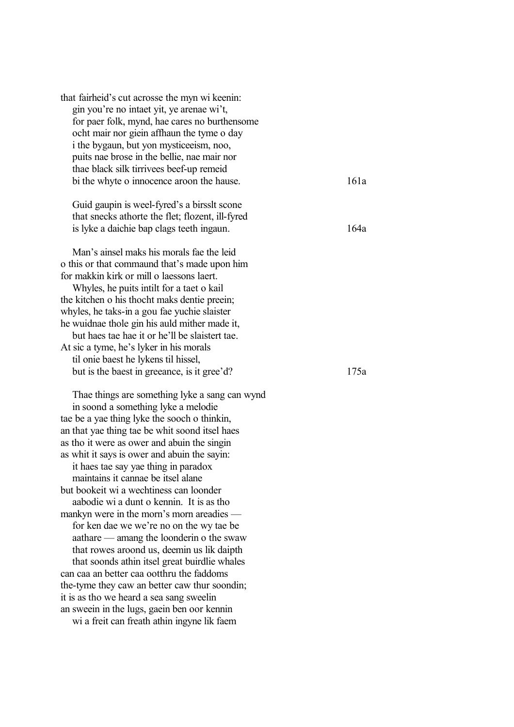| that fairheid's cut acrosse the myn wi keenin:<br>gin you're no intaet yit, ye arenae wi't,<br>for paer folk, mynd, hae cares no burthensome<br>ocht mair nor giein affhaun the tyme o day<br>i the bygaun, but yon mystice ism, noo, |      |
|---------------------------------------------------------------------------------------------------------------------------------------------------------------------------------------------------------------------------------------|------|
| puits nae brose in the bellie, nae mair nor                                                                                                                                                                                           |      |
| thae black silk tirrivees beef-up remeid                                                                                                                                                                                              |      |
| bi the whyte o innocence aroon the hause.                                                                                                                                                                                             | 161a |
| Guid gaupin is weel-fyred's a birsslt scone<br>that snecks athorte the flet; flozent, ill-fyred<br>is lyke a daichie bap clags teeth ingaun.                                                                                          | 164a |
| Man's ainsel maks his morals fae the leid                                                                                                                                                                                             |      |
| o this or that comma und that's made upon him                                                                                                                                                                                         |      |
| for makkin kirk or mill o laessons laert.                                                                                                                                                                                             |      |
| Whyles, he puits intilt for a taet o kail                                                                                                                                                                                             |      |
| the kitchen o his thocht maks dentie preein;                                                                                                                                                                                          |      |
| whyles, he taks-in a gou fae yuchie slaister                                                                                                                                                                                          |      |
| he wuidnae thole gin his auld mither made it,                                                                                                                                                                                         |      |
| but haes tae hae it or he'll be slaistert tae.                                                                                                                                                                                        |      |
| At sic a tyme, he's lyker in his morals                                                                                                                                                                                               |      |
| til onie baest he lykens til hissel,                                                                                                                                                                                                  | 175a |
| but is the baest in greeance, is it gree'd?                                                                                                                                                                                           |      |
| Thae things are something lyke a sang can wynd                                                                                                                                                                                        |      |
| in soond a something lyke a melodie                                                                                                                                                                                                   |      |
| tae be a yae thing lyke the sooch o thinkin,                                                                                                                                                                                          |      |
| an that yae thing tae be whit soond itsel haes                                                                                                                                                                                        |      |
| as tho it were as ower and abuin the singin                                                                                                                                                                                           |      |
| as whit it says is ower and abuin the sayin:                                                                                                                                                                                          |      |
| it haes tae say yae thing in paradox                                                                                                                                                                                                  |      |
| maintains it cannae be itsel alane                                                                                                                                                                                                    |      |
| but bookeit wi a wechtiness can loonder                                                                                                                                                                                               |      |
| aabodie wi a dunt o kennin. It is as tho                                                                                                                                                                                              |      |
| mankyn were in the morn's morn areadies —                                                                                                                                                                                             |      |
| for ken dae we we're no on the wy tae be                                                                                                                                                                                              |      |
| aathare — amang the loonder in o the swaw                                                                                                                                                                                             |      |
| that rowes aroond us, deemin us lik daipth<br>that soonds athin itsel great buirdlie whales                                                                                                                                           |      |
| can caa an better caa ootthru the faddoms                                                                                                                                                                                             |      |
| the-tyme they caw an better caw thur soondin;                                                                                                                                                                                         |      |
| it is as tho we heard a sea sang sweelin                                                                                                                                                                                              |      |
| an sweein in the lugs, gaein ben oor kennin                                                                                                                                                                                           |      |
| wi a freit can freath athin ingyne lik faem                                                                                                                                                                                           |      |
|                                                                                                                                                                                                                                       |      |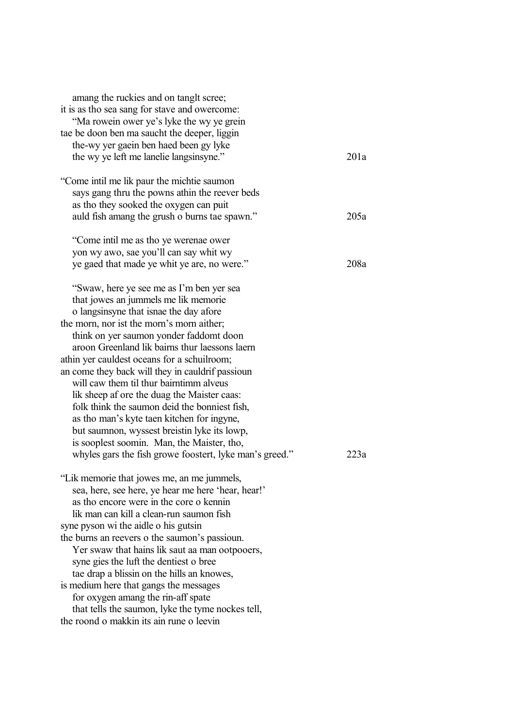| amang the ruckies and on tanglt scree;<br>it is as tho sea sang for stave and owercome:<br>"Ma rowein ower ye's lyke the wy ye grein<br>tae be doon ben ma saucht the deeper, liggin<br>the-wy yer gaein ben haed been gy lyke<br>the wy ye left me lanelie langsinsyne."                                                                                                                                                                                                                                                                                                                                                                                                                                                 | 201a |
|---------------------------------------------------------------------------------------------------------------------------------------------------------------------------------------------------------------------------------------------------------------------------------------------------------------------------------------------------------------------------------------------------------------------------------------------------------------------------------------------------------------------------------------------------------------------------------------------------------------------------------------------------------------------------------------------------------------------------|------|
|                                                                                                                                                                                                                                                                                                                                                                                                                                                                                                                                                                                                                                                                                                                           |      |
| "Come intil me lik paur the michtie saumon"<br>says gang thru the powns athin the reever beds<br>as tho they sooked the oxygen can puit<br>auld fish amang the grush o burns tae spawn."                                                                                                                                                                                                                                                                                                                                                                                                                                                                                                                                  | 205a |
| "Come intil me as tho ye werenae ower"<br>yon wy awo, sae you'll can say whit wy<br>ye gaed that made ye whit ye are, no were."                                                                                                                                                                                                                                                                                                                                                                                                                                                                                                                                                                                           | 208a |
| "Swaw, here ye see me as I'm ben yer sea<br>that jowes an jummels me lik memorie<br>o langsinsyne that isnae the day afore<br>the morn, nor ist the morn's morn aither;<br>think on yer saumon yonder faddomt doon<br>aroon Greenland lik bairns thur laessons laern<br>athin yer cauldest oceans for a schuilroom;<br>an come they back will they in cauldrif passioun<br>will caw them til thur bairntimm alveus<br>lik sheep af ore the duag the Maister caas:<br>folk think the saumon deid the bonniest fish,<br>as tho man's kyte taen kitchen for ingyne,<br>but saumnon, wyssest breistin lyke its lowp,<br>is sooplest soomin. Man, the Maister, tho,<br>whyles gars the fish growe foostert, lyke man's greed." | 223a |
| "Lik memorie that jowes me, an me jummels,<br>sea, here, see here, ye hear me here 'hear, hear!'<br>as tho encore were in the core o kennin<br>lik man can kill a clean-run saumon fish<br>syne pyson wi the aidle o his gutsin<br>the burns an reevers o the saumon's passioun.<br>Yer swaw that hains lik saut aa man ootpooers,<br>syne gies the luft the dentiest o bree<br>tae drap a blissin on the hills an knowes,<br>is medium here that gangs the messages<br>for oxygen amang the rin-aff spate<br>that tells the saumon, lyke the tyme nockes tell,<br>the roond o makkin its ain rune o leevin                                                                                                               |      |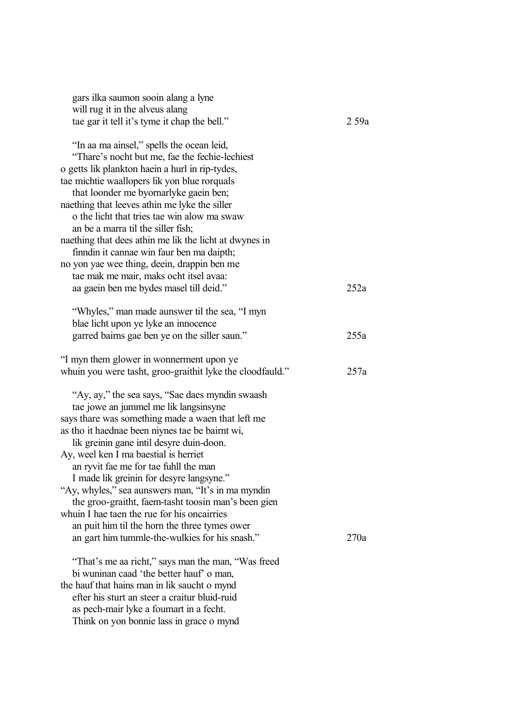| gars ilka saumon sooin alang a lyne<br>will rug it in the alveus alang                                                                             |       |
|----------------------------------------------------------------------------------------------------------------------------------------------------|-------|
| tae gar it tell it's tyme it chap the bell."                                                                                                       | 2 59a |
| "In aa ma ainsel," spells the ocean leid,<br>"Thare's nocht but me, fae the fechie-lechiest"<br>o getts lik plankton haein a hurl in rip-tydes,    |       |
| tae michtie waallopers lik yon blue rorquals<br>that loonder me byornarlyke gaein ben;<br>naething that leeves athin me lyke the siller            |       |
| o the licht that tries tae win alow ma swaw<br>an be a marra til the siller fish;                                                                  |       |
| naething that dees athin me lik the licht at dwynes in<br>finndin it cannae win faur ben ma daipth;<br>no yon yae wee thing, deein, drappin ben me |       |
| tae mak me mair, maks ocht itsel avaa:<br>aa gaein ben me bydes masel till deid."                                                                  | 252a  |
| "Whyles," man made aunswer til the sea, "I myn<br>blae licht upon ye lyke an innocence                                                             |       |
| garred bairns gae ben ye on the siller saun."                                                                                                      | 255a  |
| "I myn them glower in wonnerment upon ye<br>whuin you were tasht, groo-graithit lyke the cloodfauld."                                              | 257a  |
| "Ay, ay," the sea says, "Sae daes myndin swaash"<br>tae jowe an jummel me lik langsinsyne                                                          |       |
| says thare was something made a waen that left me<br>as tho it haednae been nivnes tae be bairnt wi,<br>lik greinin gane intil desyre duin-doon.   |       |
| Ay, weel ken I ma baestial is herriet<br>an ryvit fae me for tae fuhll the man                                                                     |       |
| I made lik greinin for desyre langsyne."<br>"Ay, whyles," sea aunswers man, "It's in ma myndin"                                                    |       |
| the groo-graitht, faem-tasht toosin man's been gien<br>whuin I hae taen the rue for his one airries                                                |       |
| an puit him til the horn the three tymes ower<br>an gart him tummle-the-wulkies for his snash."                                                    | 270a  |
| "That's me aa richt," says man the man, "Was freed"<br>bi wuninan caad 'the better hauf' o man,                                                    |       |
| the hauf that hains man in lik saucht o mynd<br>efter his sturt an steer a craitur bluid-ruid                                                      |       |
| as pech-mair lyke a foumart in a fecht.                                                                                                            |       |

Think on yon bonnie lass in grace o mynd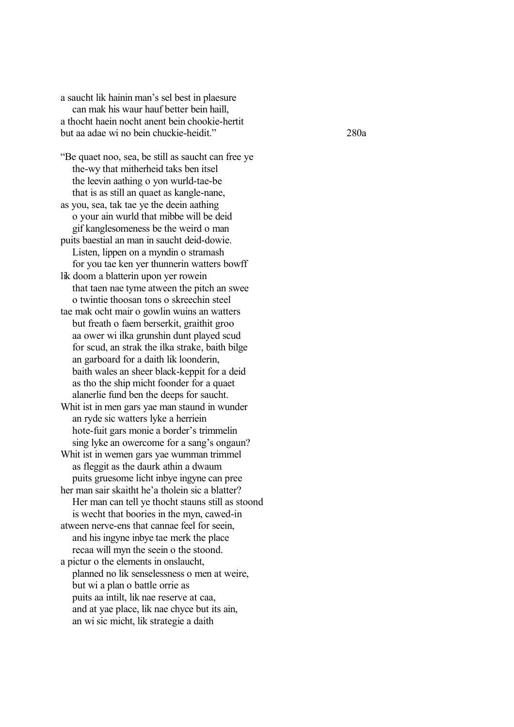a saucht lik hainin man's sel best in plaesure can mak his waur hauf better bein haill, a thocht haein nocht anent bein chookie -hertit but aa adae wi no bein chuckie -heidit." 280a

"Be quaet noo, sea, be still as saucht can free ye the -wy that mitherheid taks ben itsel the leevin aathing o yon wurld -tae -be that is as still an quaet as kangle -nane, as you, sea, tak tae ye the deein aathing o your ain wurld that mibbe will be deid gif kanglesomeness be the weird o man puits baestial an man in saucht deid -dowie. Listen, lippen on a myndin o stramash for you tae ken yer thunnerin watters bowff lik doom a blatterin upon yer rowein that taen nae tyme atween the pitch an swee o twintie thoosan tons o skreechin steel tae mak ocht mair o gowlin wuins an watters but freath o faem berserkit, graithit groo aa ower wi ilka grunshin dunt played scud for scud, an strak the ilka strake, baith bilge an garboard for a daith lik loonderin, baith wales an sheer black -keppit for a deid as tho the ship micht foonder for a quaet alanerlie fund ben the deeps for saucht. Whit ist in men gars yae man staund in wunder an ryde sic watters lyke a herriein hote -fuit gars monie a border's trimmelin sing lyke an owercome for a sang's ongaun? Whit ist in wemen gars yae wumman trimmel as fleggit as the daurk athin a dwaum puits gruesome licht inbye ingyne can pre e her man sair skaitht he'a tholein sic a blatter? Her man can tell ye thocht stauns still as stoond is wecht that boories in the myn, cawed -in atween nerve -ens that cannae feel for seein, and his ingyne inbye tae merk the place recaa will myn the seein o the stoond. a pictur o the elements in onslaucht, planned no lik senselessness o men at weire, but wi a plan o battle orrie as puits aa intilt, lik nae reserve at caa, and at yae place, lik nae chyce but its ain, an wi sic micht, lik strategie a daith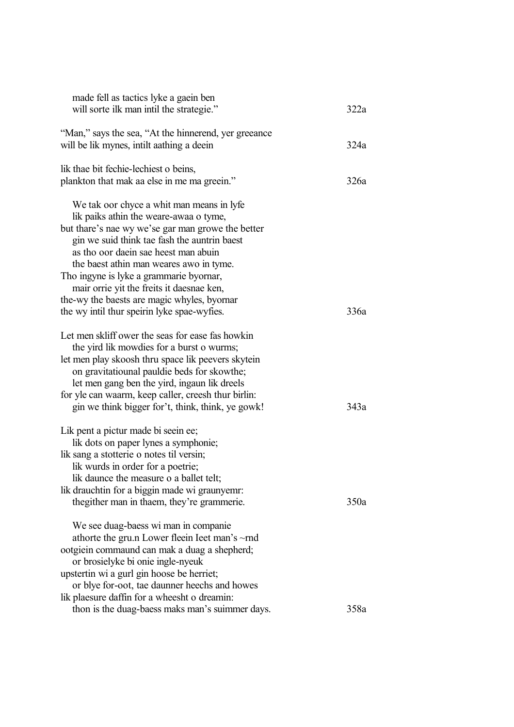| made fell as tactics lyke a gaein ben<br>will sorte ilk man intil the strategie."                                                                                                                                                                                                                                                                                                                                                                                 | 322a |
|-------------------------------------------------------------------------------------------------------------------------------------------------------------------------------------------------------------------------------------------------------------------------------------------------------------------------------------------------------------------------------------------------------------------------------------------------------------------|------|
| "Man," says the sea, "At the hinnerend, yer greeance<br>will be lik mynes, intilt aathing a deein                                                                                                                                                                                                                                                                                                                                                                 | 324a |
| lik thae bit fechie-lechiest o beins,<br>plankton that mak aa else in me ma greein."                                                                                                                                                                                                                                                                                                                                                                              | 326a |
| We tak oor chyce a whit man means in lyfe<br>lik paiks athin the weare-awaa o tyme,<br>but thare's nae wy we'se gar man growe the better<br>gin we suid think tae fash the auntrin baest<br>as tho oor daein sae heest man abuin<br>the baest athin man weares awo in tyme.<br>Tho ingyne is lyke a grammarie byornar,<br>mair orrie yit the freits it daesnae ken,<br>the-wy the baests are magic whyles, byornar<br>the wy intil thur speirin lyke spae-wyfies. | 336a |
| Let men skliff ower the seas for ease fas howkin<br>the yird lik mowdies for a burst o wurms;<br>let men play skoosh thru space lik peevers skytein<br>on gravitatiounal pauldie beds for skowthe;<br>let men gang ben the yird, ingaun lik dreels<br>for yle can waarm, keep caller, creesh thur birlin:<br>gin we think bigger for't, think, think, ye gowk!                                                                                                    | 343a |
| Lik pent a pictur made bi seein ee;<br>lik dots on paper lynes a symphonie;<br>lik sang a stotterie o notes til versin;<br>lik wurds in order for a poetrie;<br>lik daunce the measure o a ballet telt;<br>lik drauchtin for a biggin made wi graunyemr:<br>thegither man in thaem, they're grammerie.                                                                                                                                                            | 350a |
| We see duag-baess wi man in companie<br>athorte the gru.n Lower fleein Ieet man's ~rnd<br>ootgiein commaund can mak a duag a shepherd;<br>or brosielyke bi onie ingle-nyeuk<br>upstertin wi a gurl gin hoose be herriet;<br>or blye for-oot, tae daunner heechs and howes<br>lik plaesure daffin for a wheesht o dreamin:<br>thon is the duag-baess maks man's suimmer days.                                                                                      | 358a |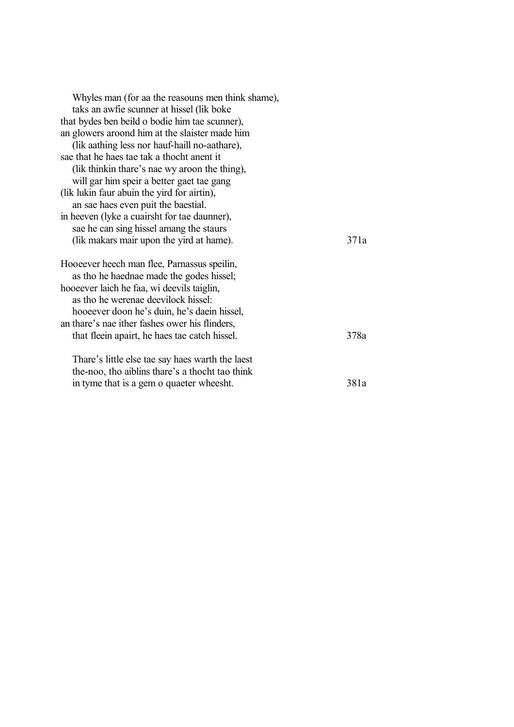| Whyles man (for aa the reasouns men think shame), |      |
|---------------------------------------------------|------|
| taks an awfie scunner at hissel (lik boke)        |      |
| that bydes ben beild o bodie him tae scunner),    |      |
| an glowers aroond him at the slaister made him    |      |
| (lik aathing less nor hauf-haill no-aathare),     |      |
| sae that he haes tae tak a thocht anent it        |      |
| (lik thinkin thare's nae wy aroon the thing),     |      |
| will gar him speir a better gaet tae gang         |      |
| (lik lukin faur abuin the yird for airtin),       |      |
| an sae haes even puit the baestial.               |      |
| in heeven (lyke a cuairsht for tae daunner),      |      |
| sae he can sing hissel amang the staurs           |      |
| (lik makars mair upon the yird at hame).          | 371a |
| Hooeever heech man flee, Parnassus speilin,       |      |
| as tho he haednae made the godes hissel;          |      |
| hooeever laich he faa, wi deevils taiglin,        |      |
| as tho he werenae deevilock hissel:               |      |
| hooeever doon he's duin, he's daein hissel,       |      |
| an thare's nae ither fashes ower his flinders,    |      |
| that fleein apairt, he haes tae catch hissel.     | 378a |
|                                                   |      |
| Thare's little else tae say haes warth the laest  |      |
| the-noo, tho aiblins thare's a thocht tao think   |      |
| in tyme that is a gem o quaeter wheesht.          | 381a |
|                                                   |      |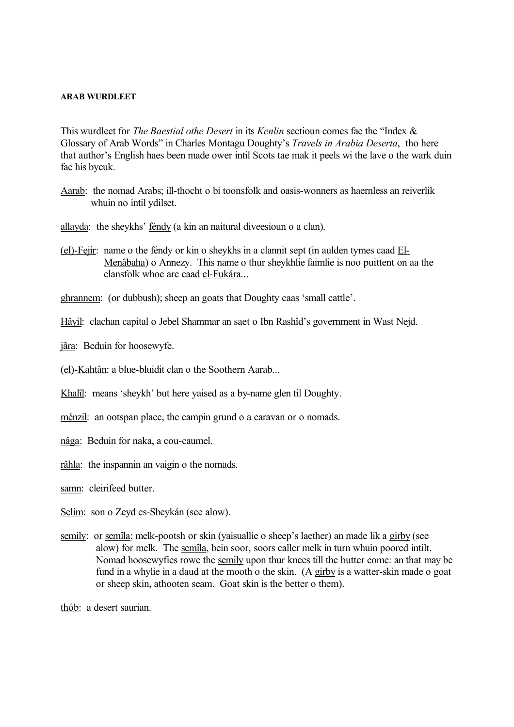### **ARAB WURDLEET**

This wurdleet for *The Baestial othe Desert* in its *Kenlin* sectioun comes fae the "Index & Glossary of Arab Words" in Charles Montagu Doughty's *Travels in Arabia Deserta*, tho here that author's English haes been made ower intil Scots tae mak it peels wi the lave o the wark duin fae his byeuk.

- Aarab: the nomad Arabs; ill-thocht o bi toonsfolk and oasis-wonners as haernless an reiverlik whuin no intil ydilset.
- allayda: the sheykhs' fändy (a kin an naitural diveesioun o a clan).
- (el)-Fejir: name o the fändy or kin o sheykhs in a clannit sept (in aulden tymes caad El-MenÖbaha) o Annezy. This name o thur sheykhlie faimlie is noo puittent on aa the clansfolk whoe are caad el-Fukára...

ghrannem: (or dubbush); sheep an goats that Doughty caas 'small cattle'.

Hâyil: clachan capital o Jebel Shammar an saet o Ibn Rashîd's government in Wast Nejd.

jâra: Beduin for hoosewyfe.

(el)-Kahtân: a blue-bluidit clan o the Soothern Aarab...

Khalãl: means 'sheykh' but here yaised as a by-name glen til Doughty.

ménzil: an ootspan place, the campin grund o a caravan or o nomads.

nâga: Beduin for naka, a cou-caumel.

râhla: the inspannin an vaigin o the nomads.

samn: cleirifeed butter.

Selím: son o Zeyd es-Sbeykán (see alow).

semily: or semãla; melk-pootsh or skin (yaisuallie o sheep's laether) an made lik a girby (see alow) for melk. The semãla, bein soor, soors caller melk in turn whuin poored intilt. Nomad hoosewyfies rowe the semily upon thur knees till the butter come: an that may be fund in a whylie in a daud at the mooth o the skin. (A girby is a watter-skin made o goat or sheep skin, athooten seam. Goat skin is the better o them).

thåb: a desert saurian.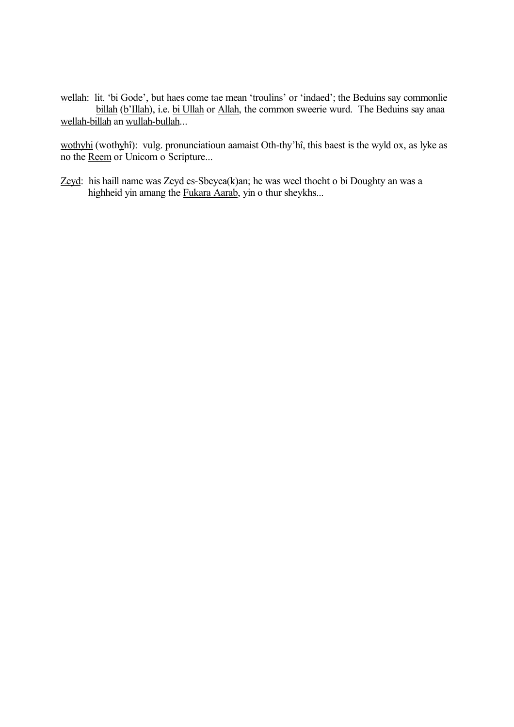wellah: lit. 'bi Gode', but haes come tae mean 'troulins' or 'indaed'; the Beduins say commonlie billah (b'Illah), i.e. bi Ullah or Allah, the common sweerie wurd. The Beduins say anaa wellah-billah an wullah-bullah...

wothyhi (wothyhî): vulg. pronunciatioun aamaist Oth-thy'hî, this baest is the wyld ox, as lyke as no the Reem or Unicorn o Scripture...

Zeyd: his haill name was Zeyd es-Sbeyca(k)an; he was weel thocht o bi Doughty an was a highheid yin amang the Fukara Aarab, yin o thur sheykhs...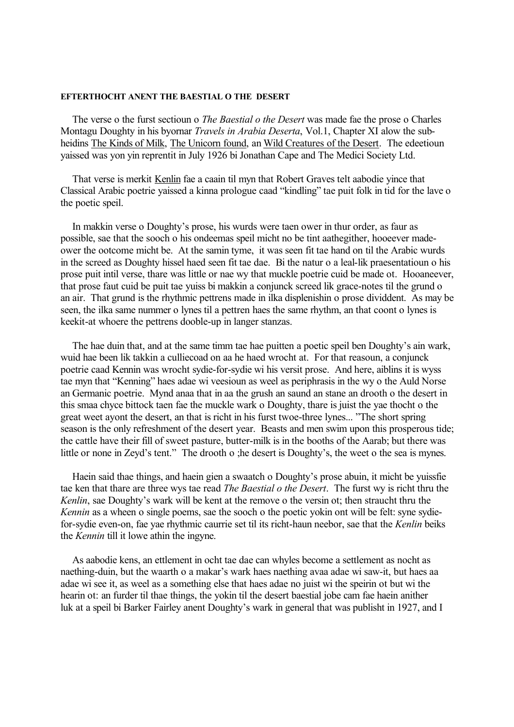#### **EFTERTHOCHT ANENT THE BAESTIAL O THE DESERT**

The verse o the furst sectioun o *The Baestial o the Desert* was made fae the prose o Charles Montagu Doughty in his byornar *Travels in Arabia Deserta*, Vol.1, Chapter XI alow the subheidins The Kinds of Milk, The Unicorn found, an Wild Creatures of the Desert. The edeetioun yaissed was yon yin reprentit in July 1926 bi Jonathan Cape and The Medici Society Ltd.

That verse is merkit Kenlin fae a caain til myn that Robert Graves telt aabodie yince that Classical Arabic poetrie yaissed a kinna prologue caad "kindling" tae puit folk in tid for the lave o the poetic speil.

In makkin verse o Doughty's prose, his wurds were taen ower in thur order, as faur as possible, sae that the sooch o his ondeemas speil micht no be tint aathegither, hooeever madeower the ootcome micht be. At the samin tyme, it was seen fit tae hand on til the Arabic wurds in the screed as Doughty hissel haed seen fit tae dae. Bi the natur o a leal-lik praesentatioun o his prose puit intil verse, thare was little or nae wy that muckle poetrie cuid be made ot. Hooaneever, that prose faut cuid be puit tae yuiss bi makkin a conjunck screed lik grace-notes til the grund o an air. That grund is the rhythmic pettrens made in ilka displenishin o prose dividdent. As may be seen, the ilka same nummer o lynes til a pettren haes the same rhythm, an that coont o lynes is keekit-at whoere the pettrens dooble-up in langer stanzas.

The hae duin that, and at the same timm tae hae puitten a poetic speil ben Doughty's ain wark, wuid hae been lik takkin a culliecoad on aa he haed wrocht at. For that reasoun, a conjunck poetrie caad Kennin was wrocht sydie-for-sydie wi his versit prose. And here, aiblins it is wyss tae myn that "Kenning" haes adae wi veesioun as weel as periphrasis in the wy o the Auld Norse an Germanic poetrie. Mynd anaa that in aa the grush an saund an stane an drooth o the desert in this smaa chyce bittock taen fae the muckle wark o Doughty, thare is juist the yae thocht o the great weet ayont the desert, an that is richt in his furst twoe-three lynes... "The short spring season is the only refreshment of the desert year. Beasts and men swim upon this prosperous tide; the cattle have their fill of sweet pasture, butter-milk is in the booths of the Aarab; but there was little or none in Zeyd's tent." The drooth o ;he desert is Doughty's, the weet o the sea is mynes.

Haein said thae things, and haein gien a swaatch o Doughty's prose abuin, it micht be yuissfie tae ken that thare are three wys tae read *The Baestial o the Desert*. The furst wy is richt thru the *Kenlin*, sae Doughty's wark will be kent at the remove o the versin ot; then straucht thru the *Kennin* as a wheen o single poems, sae the sooch o the poetic yokin ont will be felt: syne sydiefor-sydie even-on, fae yae rhythmic caurrie set til its richt-haun neebor, sae that the *Kenlin* beiks the *Kennin* till it lowe athin the ingyne.

As aabodie kens, an ettlement in ocht tae dae can whyles become a settlement as nocht as naething-duin, but the waarth o a makar's wark haes naething avaa adae wi saw-it, but haes aa adae wi see it, as weel as a something else that haes adae no juist wi the speirin ot but wi the hearin ot: an furder til thae things, the yokin til the desert baestial jobe cam fae haein anither luk at a speil bi Barker Fairley anent Doughty's wark in general that was publisht in 1927, and I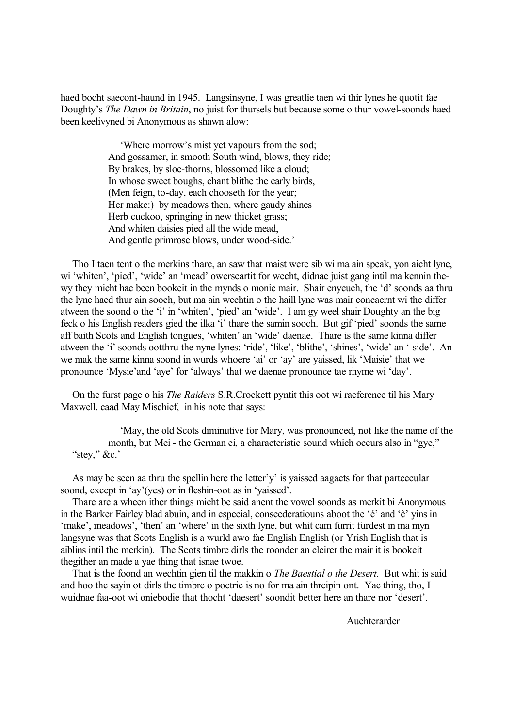haed bocht saecont-haund in 1945. Langsinsyne, I was greatlie taen wi thir lynes he quotit fae Doughty's *The Dawn in Britain*, no juist for thursels but because some o thur vowel-soonds haed been keelivyned bi Anonymous as shawn alow:

> 'Where morrow's mist yet vapours from the sod; And gossamer, in smooth South wind, blows, they ride; By brakes, by sloe-thorns, blossomed like a cloud; In whose sweet boughs, chant blithe the early birds, (Men feign, to-day, each chooseth for the year; Her make:) by meadows then, where gaudy shines Herb cuckoo, springing in new thicket grass; And whiten daisies pied all the wide mead, And gentle primrose blows, under wood-side.'

Tho I taen tent o the merkins thare, an saw that maist were sib wi ma ain speak, yon aicht lyne, wi 'whiten', 'pied', 'wide' an 'mead' owerscartit for wecht, didnae juist gang intil ma kennin thewy they micht hae been bookeit in the mynds o monie mair. Shair enyeuch, the 'd' soonds aa thru the lyne haed thur ain sooch, but ma ain wechtin o the haill lyne was mair concaernt wi the differ atween the soond o the 'i' in 'whiten', 'pied' an 'wide'. I am gy weel shair Doughty an the big feck o his English readers gied the ilka 'i' thare the samin sooch. But gif 'pied' soonds the same aff baith Scots and English tongues, 'whiten' an 'wide' daenae. Thare is the same kinna differ atween the 'i' soonds ootthru the nyne lynes: 'ride', 'like', 'blithe', 'shines', 'wide' an '-side'. An we mak the same kinna soond in wurds whoere 'ai' or 'ay' are yaissed, lik 'Maisie' that we pronounce 'Mysie'and 'aye' for 'always' that we daenae pronounce tae rhyme wi 'day'.

On the furst page o his *The Raiders* S.R.Crockett pyntit this oot wi raeference til his Mary Maxwell, caad May Mischief, in his note that says:

'May, the old Scots diminutive for Mary, was pronounced, not like the name of the month, but Mei - the German ei, a characteristic sound which occurs also in "gye," "stey," &c.'

As may be seen aa thru the spellin here the letter'y' is yaissed aagaets for that parteecular soond, except in 'ay'(yes) or in fleshin-oot as in 'yaissed'.

Thare are a wheen ither things micht be said anent the vowel soonds as merkit bi Anonymous in the Barker Fairley blad abuin, and in especial, conseederatiouns aboot the 'é' and 'è' yins in 'make', meadows', 'then' an 'where' in the sixth lyne, but whit cam furrit furdest in ma myn langsyne was that Scots English is a wurld awo fae English English (or Yrish English that is aiblins intil the merkin). The Scots timbre dirls the roonder an cleirer the mair it is bookeit thegither an made a yae thing that isnae twoe.

That is the foond an wechtin gien til the makkin o *The Baestial o the Desert*. But whit is said and hoo the sayin ot dirls the timbre o poetrie is no for ma ain threipin ont. Yae thing, tho, I wuidnae faa-oot wi oniebodie that thocht 'daesert' soondit better here an thare nor 'desert'.

Auchterarder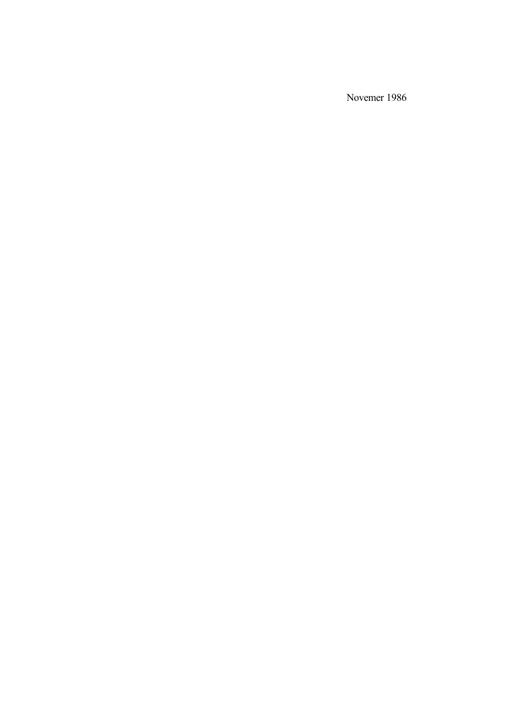Novemer 1986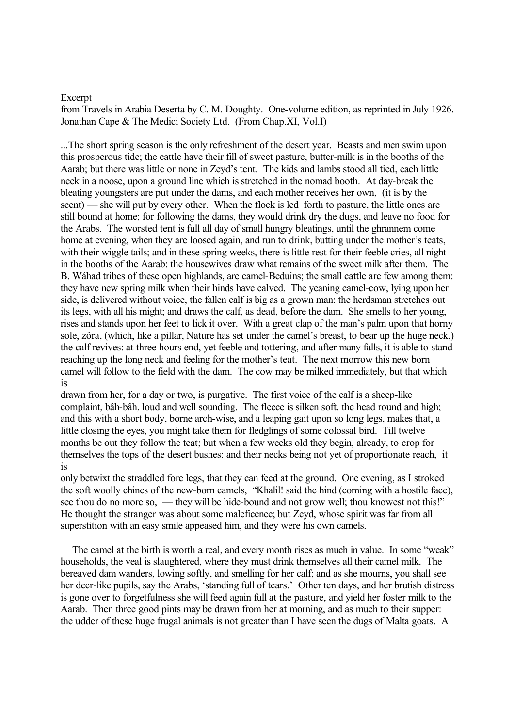# Excerpt

from Travels in Arabia Deserta by C. M. Doughty. One-volume edition, as reprinted in July 1926. Jonathan Cape & The Medici Society Ltd. (From Chap.XI, Vol.I)

...The short spring season is the only refreshment of the desert year. Beasts and men swim upon this prosperous tide; the cattle have their fill of sweet pasture, butter-milk is in the booths of the Aarab; but there was little or none in Zeyd's tent. The kids and lambs stood all tied, each little neck in a noose, upon a ground line which is stretched in the nomad booth. At day-break the bleating youngsters are put under the dams, and each mother receives her own, (it is by the scent) — she will put by every other. When the flock is led forth to pasture, the little ones are still bound at home; for following the dams, they would drink dry the dugs, and leave no food for the Arabs. The worsted tent is full all day of small hungry bleatings, until the ghrannem come home at evening, when they are loosed again, and run to drink, butting under the mother's teats, with their wiggle tails; and in these spring weeks, there is little rest for their feeble cries, all night in the booths of the Aarab: the housewives draw what remains of the sweet milk after them. The B. Wáhad tribes of these open highlands, are camel-Beduins; the small cattle are few among them: they have new spring milk when their hinds have calved. The yeaning camel-cow, lying upon her side, is delivered without voice, the fallen calf is big as a grown man: the herdsman stretches out its legs, with all his might; and draws the calf, as dead, before the dam. She smells to her young, rises and stands upon her feet to lick it over. With a great clap of the man's palm upon that horny sole, zôra, (which, like a pillar, Nature has set under the camel's breast, to bear up the huge neck,) the calf revives: at three hours end, yet feeble and tottering, and after many falls, it is able to stand reaching up the long neck and feeling for the mother's teat. The next morrow this new born camel will follow to the field with the dam. The cow may be milked immediately, but that which is

drawn from her, for a day or two, is purgative. The first voice of the calf is a sheep-like complaint, bâh-bâh, loud and well sounding. The fleece is silken soft, the head round and high; and this with a short body, borne arch-wise, and a leaping gait upon so long legs, makes that, a little closing the eyes, you might take them for fledglings of some colossal bird. Till twelve months be out they follow the teat; but when a few weeks old they begin, already, to crop for themselves the tops of the desert bushes: and their necks being not yet of proportionate reach, it is

only betwixt the straddled fore legs, that they can feed at the ground. One evening, as I stroked the soft woolly chines of the new-born camels, "Khalil! said the hind (coming with a hostile face), see thou do no more so, — they will be hide-bound and not grow well; thou knowest not this!" He thought the stranger was about some maleficence; but Zeyd, whose spirit was far from all superstition with an easy smile appeased him, and they were his own camels.

The camel at the birth is worth a real, and every month rises as much in value. In some "weak" households, the veal is slaughtered, where they must drink themselves all their camel milk. The bereaved dam wanders, lowing softly, and smelling for her calf; and as she mourns, you shall see her deer-like pupils, say the Arabs, 'standing full of tears.' Other ten days, and her brutish distress is gone over to forgetfulness she will feed again full at the pasture, and yield her foster milk to the Aarab. Then three good pints may be drawn from her at morning, and as much to their supper: the udder of these huge frugal animals is not greater than I have seen the dugs of Malta goats. A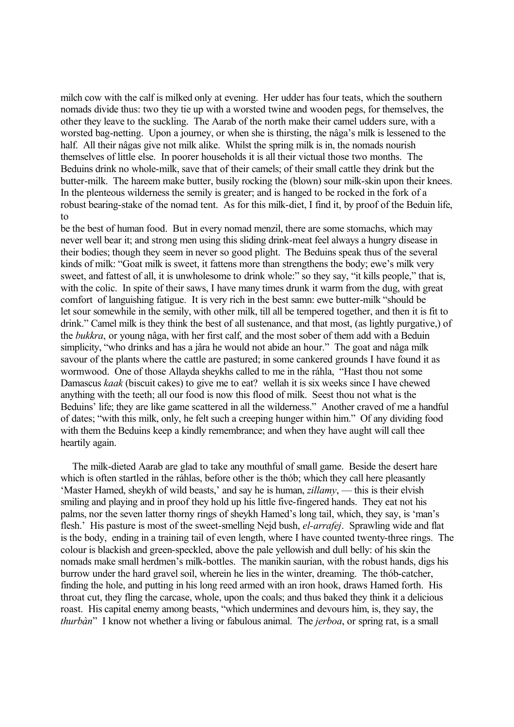milch cow with the calf is milked only at evening. Her udder has four teats, which the southern nomads divide thus: two they tie up with a worsted twine and wooden pegs, for themselves, the other they leave to the suckling. The Aarab of the north make their camel udders sure, with a worsted bag-netting. Upon a journey, or when she is thirsting, the nâga's milk is lessened to the half. All their nâgas give not milk alike. Whilst the spring milk is in, the nomads nourish themselves of little else. In poorer households it is all their victual those two months. The Beduins drink no whole-milk, save that of their camels; of their small cattle they drink but the butter-milk. The hareem make butter, busily rocking the (blown) sour milk-skin upon their knees. In the plenteous wilderness the semily is greater; and is hanged to be rocked in the fork of a robust bearing-stake of the nomad tent. As for this milk-diet, I find it, by proof of the Beduin life, to

be the best of human food. But in every nomad menzil, there are some stomachs, which may never well bear it; and strong men using this sliding drink-meat feel always a hungry disease in their bodies; though they seem in never so good plight. The Beduins speak thus of the several kinds of milk: "Goat milk is sweet, it fattens more than strengthens the body; ewe's milk very sweet, and fattest of all, it is unwholesome to drink whole:" so they say, "it kills people," that is, with the colic. In spite of their saws, I have many times drunk it warm from the dug, with great comfort of languishing fatigue. It is very rich in the best samn: ewe butter-milk "should be let sour somewhile in the semily, with other milk, till all be tempered together, and then it is fit to drink." Camel milk is they think the best of all sustenance, and that most, (as lightly purgative,) of the *bukkra*, or young nâga, with her first calf, and the most sober of them add with a Beduin simplicity, "who drinks and has a jâra he would not abide an hour." The goat and nâga milk savour of the plants where the cattle are pastured; in some cankered grounds I have found it as wormwood. One of those Allayda sheykhs called to me in the ráhla, "Hast thou not some Damascus *kaak* (biscuit cakes) to give me to eat? wellah it is six weeks since I have chewed anything with the teeth; all our food is now this flood of milk. Seest thou not what is the Beduins' life; they are like game scattered in all the wilderness." Another craved of me a handful of dates; "with this milk, only, he felt such a creeping hunger within him." Of any dividing food with them the Beduins keep a kindly remembrance; and when they have aught will call thee heartily again.

The milk-dieted Aarab are glad to take any mouthful of small game. Beside the desert hare which is often startled in the ráhlas, before other is the thób; which they call here pleasantly 'Master Hamed, sheykh of wild beasts,' and say he is human, *zillamy*, — this is their elvish smiling and playing and in proof they hold up his little five-fingered hands. They eat not his palms, nor the seven latter thorny rings of sheykh Hamed's long tail, which, they say, is 'man's flesh.' His pasture is most of the sweet-smelling Nejd bush, *el-arrafej*. Sprawling wide and flat is the body, ending in a training tail of even length, where I have counted twenty-three rings. The colour is blackish and green-speckled, above the pale yellowish and dull belly: of his skin the nomads make small herdmen's milk-bottles. The manikin saurian, with the robust hands, digs his burrow under the hard gravel soil, wherein he lies in the winter, dreaming. The thåb-catcher, finding the hole, and putting in his long reed armed with an iron hook, draws Hamed forth. His throat cut, they fling the carcase, whole, upon the coals; and thus baked they think it a delicious roast. His capital enemy among beasts, "which undermines and devours him, is, they say, the *thurbàn*" I know not whether a living or fabulous animal. The *jerboa*, or spring rat, is a small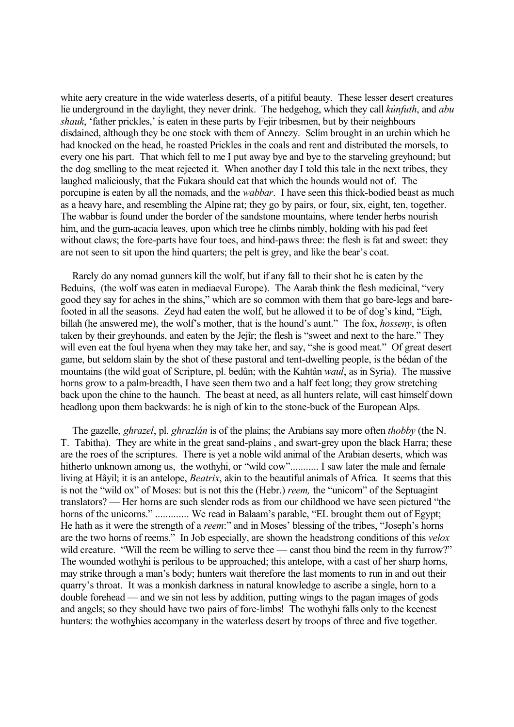white aery creature in the wide waterless deserts, of a pitiful beauty. These lesser desert creatures lie underground in the daylight, they never drink. The hedgehog, which they call *kÜnfuth*, and *abu shauk*, 'father prickles,' is eaten in these parts by Fejir tribesmen, but by their neighbours disdained, although they be one stock with them of Annezy. Selim brought in an urchin which he had knocked on the head, he roasted Prickles in the coals and rent and distributed the morsels, to every one his part. That which fell to me I put away bye and bye to the starveling greyhound; but the dog smelling to the meat rejected it. When another day I told this tale in the next tribes, they laughed maliciously, that the Fukara should eat that which the hounds would not of. The porcupine is eaten by all the nomads, and the *wabbar*. I have seen this thick-bodied beast as much as a heavy hare, and resembling the Alpine rat; they go by pairs, or four, six, eight, ten, together. The wabbar is found under the border of the sandstone mountains, where tender herbs nourish him, and the gum-acacia leaves, upon which tree he climbs nimbly, holding with his pad feet without claws; the fore-parts have four toes, and hind-paws three: the flesh is fat and sweet: they are not seen to sit upon the hind quarters; the pelt is grey, and like the bear's coat.

Rarely do any nomad gunners kill the wolf, but if any fall to their shot he is eaten by the Beduins, (the wolf was eaten in mediaeval Europe). The Aarab think the flesh medicinal, "very good they say for aches in the shins," which are so common with them that go bare-legs and barefooted in all the seasons. Zeyd had eaten the wolf, but he allowed it to be of dog's kind, "Eigh, billah (he answered me), the wolf's mother, that is the hound's aunt." The fox, *hosseny*, is often taken by their greyhounds, and eaten by the Jejãr; the flesh is "sweet and next to the hare." They will even eat the foul hyena when they may take her, and say, "she is good meat." Of great desert game, but seldom slain by the shot of these pastoral and tent-dwelling people, is the bädan of the mountains (the wild goat of Scripture, pl. bedûn; with the Kahtân *waul*, as in Syria). The massive horns grow to a palm-breadth, I have seen them two and a half feet long; they grow stretching back upon the chine to the haunch. The beast at need, as all hunters relate, will cast himself down headlong upon them backwards: he is nigh of kin to the stone-buck of the European Alps.

The gazelle, *ghrazel*, pl. *ghrazlán* is of the plains; the Arabians say more often *thobby* (the N. T. Tabitha). They are white in the great sand-plains , and swart-grey upon the black Harra; these are the roes of the scriptures. There is yet a noble wild animal of the Arabian deserts, which was hitherto unknown among us, the wothyhi, or "wild cow"........... I saw later the male and female living at Hâyil; it is an antelope, *Beatrix*, akin to the beautiful animals of Africa. It seems that this is not the "wild ox" of Moses: but is not this the (Hebr.) *reem,* the "unicorn" of the Septuagint translators? — Her horns are such slender rods as from our childhood we have seen pictured "the horns of the unicorns." ............. We read in Balaam's parable, "EL brought them out of Egypt; He hath as it were the strength of a *reem*:" and in Moses' blessing of the tribes, "Joseph's horns are the two horns of reems." In Job especially, are shown the headstrong conditions of this *velox* wild creature. "Will the reem be willing to serve thee — canst thou bind the reem in thy furrow?" The wounded wothyhi is perilous to be approached; this antelope, with a cast of her sharp horns, may strike through a man's body; hunters wait therefore the last moments to run in and out their quarry's throat. It was a monkish darkness in natural knowledge to ascribe a single, horn to a double forehead — and we sin not less by addition, putting wings to the pagan images of gods and angels; so they should have two pairs of fore-limbs! The wothyhi falls only to the keenest hunters: the wothyhies accompany in the waterless desert by troops of three and five together.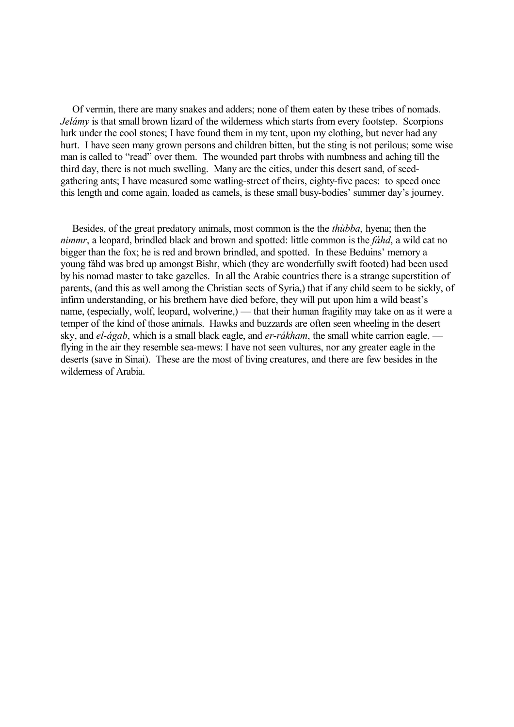Of vermin, there are many snakes and adders; none of them eaten by these tribes of nomads. *Jelámy* is that small brown lizard of the wilderness which starts from every footstep. Scorpions lurk under the cool stones; I have found them in my tent, upon my clothing, but never had any hurt. I have seen many grown persons and children bitten, but the sting is not perilous; some wise man is called to "read" over them. The wounded part throbs with numbness and aching till the third day, there is not much swelling. Many are the cities, under this desert sand, of seedgathering ants; I have measured some watling-street of theirs, eighty-five paces: to speed once this length and come again, loaded as camels, is these small busy-bodies' summer day's journey.

Besides, of the great predatory animals, most common is the *thùbba*, hyena; then the *nimmr*, a leopard, brindled black and brown and spotted: little common is the *fáhd*, a wild cat no bigger than the fox; he is red and brown brindled, and spotted. In these Beduins' memory a young fåhd was bred up amongst Bishr, which (they are wonderfully swift footed) had been used by his nomad master to take gazelles. In all the Arabic countries there is a strange superstition of parents, (and this as well among the Christian sects of Syria,) that if any child seem to be sickly, of infirm understanding, or his brethern have died before, they will put upon him a wild beast's name, (especially, wolf, leopard, wolverine,) — that their human fragility may take on as it were a temper of the kind of those animals. Hawks and buzzards are often seen wheeling in the desert sky, and *el-ágab*, which is a small black eagle, and *er-rákham*, the small white carrion eagle, flying in the air they resemble sea-mews: I have not seen vultures, nor any greater eagle in the deserts (save in Sinai). These are the most of living creatures, and there are few besides in the wilderness of Arabia.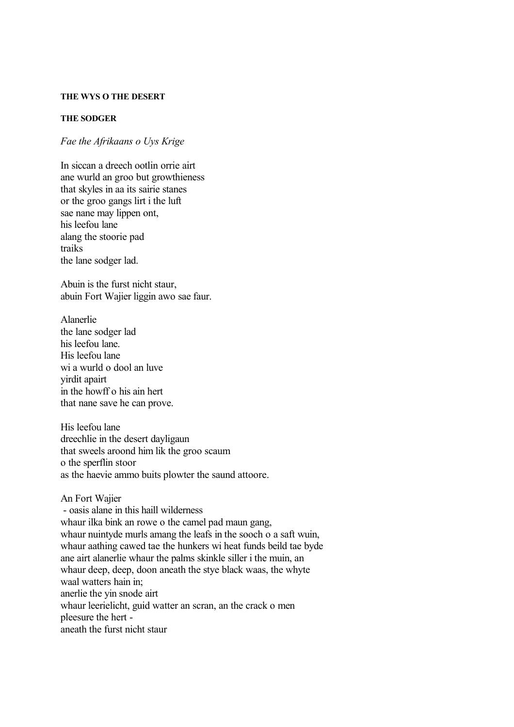### **THE WYS O THE DESERT**

## **THE SODGER**

*Fae the Afrikaans o Uys Krige*

In siccan a dreech ootlin orrie airt ane wurld an groo but growthieness that skyles in aa its sairie stanes or the groo gangs lirt i the luft sae nane may lippen ont, his leefou lane alang the stoorie pad traiks the lane sodger lad.

Abuin is the furst nicht staur, abuin Fort Wajier liggin awo sae faur.

Alanerlie the lane sodger lad his leefou lane. His leefou lane wi a wurld o dool an luve yirdit apairt in the howff o his ain hert that nane save he can prove.

His leefou lane dreechlie in the desert dayligaun that sweels aroond him lik the groo scaum o the sperflin stoor as the haevie ammo buits plowter the saund attoore.

# An Fort Wajier

- oasis alane in this haill wilderness whaur ilka bink an rowe o the camel pad maun gang, whaur nuintyde murls amang the leafs in the sooch o a saft wuin, whaur aathing cawed tae the hunkers wi heat funds beild tae byde ane airt alanerlie whaur the palms skinkle siller i the muin, an whaur deep, deep, doon aneath the stye black waas, the whyte waal watters hain in; anerlie the yin snode airt whaur leerielicht, guid watter an scran, an the crack o men pleesure the hert aneath the furst nicht staur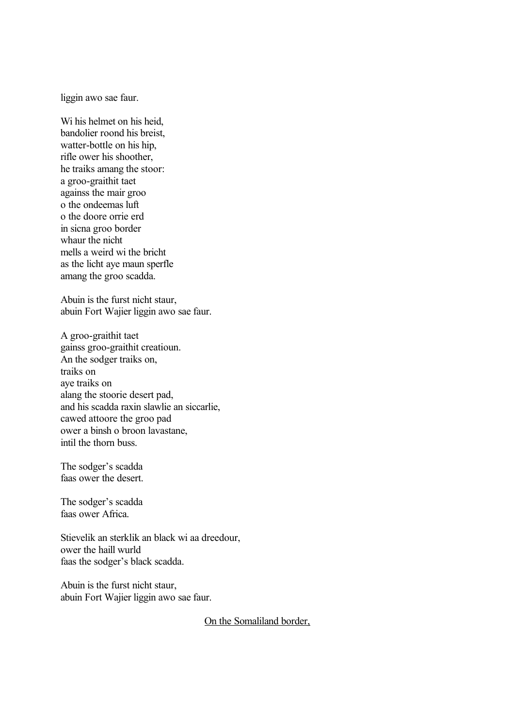liggin awo sae faur.

Wi his helmet on his heid, bandolier roond his breist, watter-bottle on his hip, rifle ower his shoother, he traiks amang the stoor: a groo-graithit taet againss the mair groo o the ondeemas luft o the doore orrie erd in sicna groo border whaur the nicht mells a weird wi the bricht as the licht aye maun sperfle amang the groo scadda.

Abuin is the furst nicht staur, abuin Fort Wajier liggin awo sae faur.

A groo-graithit taet gainss groo-graithit creatioun. An the sodger traiks on, traiks on aye traiks on alang the stoorie desert pad, and his scadda raxin slawlie an siccarlie, cawed attoore the groo pad ower a binsh o broon lavastane, intil the thorn buss.

The sodger's scadda faas ower the desert.

The sodger's scadda faas ower Africa.

Stievelik an sterklik an black wi aa dreedour, ower the haill wurld faas the sodger's black scadda.

Abuin is the furst nicht staur, abuin Fort Wajier liggin awo sae faur.

On the Somaliland border,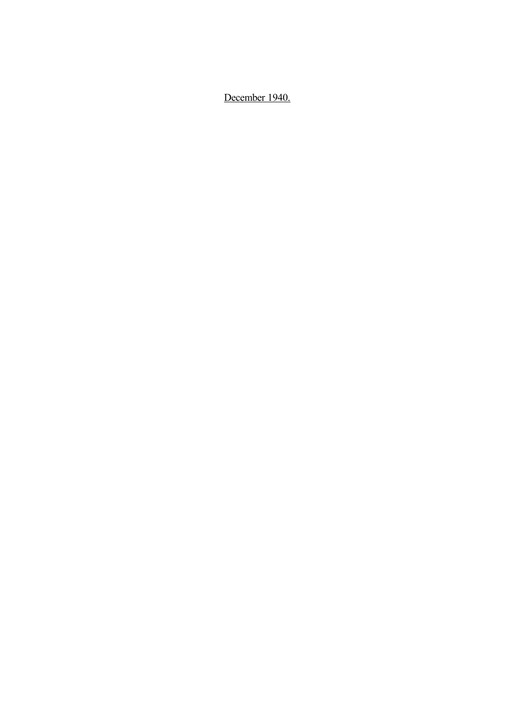December 1940.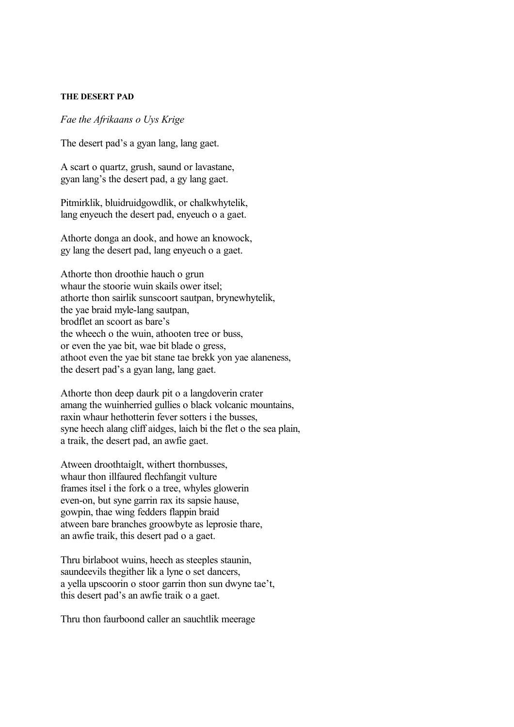### **THE DESERT PAD**

*Fae the Afrikaans o Uys Krige*

The desert pad's a gyan lang, lang gaet.

A scart o quartz, grush, saund or lavastane, gyan lang's the desert pad, a gy lang gaet.

Pitmirklik, bluidruidgowdlik, or chalkwhytelik, lang enyeuch the desert pad, enyeuch o a gaet.

Athorte donga an dook, and howe an knowock, gy lang the desert pad, lang enyeuch o a gaet.

Athorte thon droothie hauch o grun whaur the stoorie wuin skails ower itsel; athorte thon sairlik sunscoort sautpan, brynewhytelik, the yae braid myle-lang sautpan, brodflet an scoort as bare's the wheech o the wuin, athooten tree or buss, or even the yae bit, wae bit blade o gress, athoot even the yae bit stane tae brekk yon yae alaneness, the desert pad's a gyan lang, lang gaet.

Athorte thon deep daurk pit o a langdoverin crater amang the wuinherried gullies o black volcanic mountains, raxin whaur hethotterin fever sotters i the busses, syne heech alang cliff aidges, laich bi the flet o the sea plain, a traik, the desert pad, an awfie gaet.

Atween droothtaiglt, withert thornbusses, whaur thon illfaured flechfangit vulture frames itsel i the fork o a tree, whyles glowerin even-on, but syne garrin rax its sapsie hause, gowpin, thae wing fedders flappin braid atween bare branches groowbyte as leprosie thare, an awfie traik, this desert pad o a gaet.

Thru birlaboot wuins, heech as steeples staunin, saundeevils thegither lik a lyne o set dancers, a yella upscoorin o stoor garrin thon sun dwyne tae't, this desert pad's an awfie traik o a gaet.

Thru thon faurboond caller an sauchtlik meerage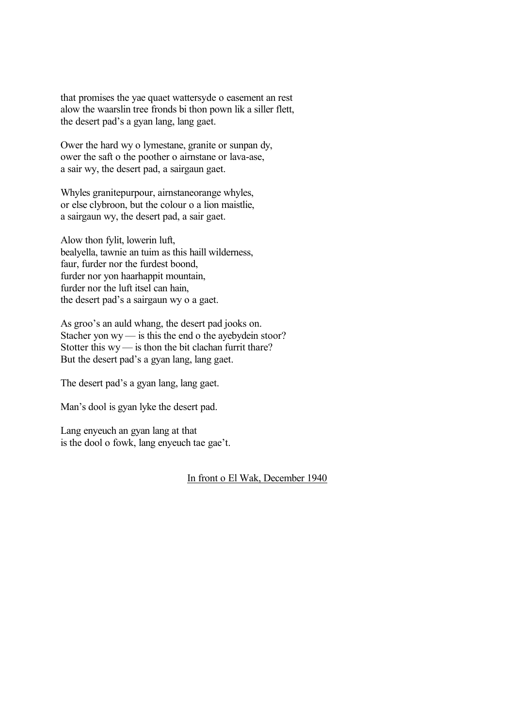that promises the yae quaet wattersyde o easement an rest alow the waarslin tree fronds bi thon pown lik a siller flett, the desert pad's a gyan lang, lang gaet.

Ower the hard wy o lymestane, granite or sunpan dy, ower the saft o the poother o airnstane or lava-ase, a sair wy, the desert pad, a sairgaun gaet.

Whyles granitepurpour, airnstaneorange whyles, or else clybroon, but the colour o a lion maistlie, a sairgaun wy, the desert pad, a sair gaet.

Alow thon fylit, lowerin luft, bealyella, tawnie an tuim as this haill wilderness, faur, furder nor the furdest boond, furder nor yon haarhappit mountain, furder nor the luft itsel can hain, the desert pad's a sairgaun wy o a gaet.

As groo's an auld whang, the desert pad jooks on. Stacher yon wy — is this the end o the ayebydein stoor? Stotter this wy — is thon the bit clachan furrit thare? But the desert pad's a gyan lang, lang gaet.

The desert pad's a gyan lang, lang gaet.

Man's dool is gyan lyke the desert pad.

Lang enyeuch an gyan lang at that is the dool o fowk, lang enyeuch tae gae't.

# In front o El Wak, December 1940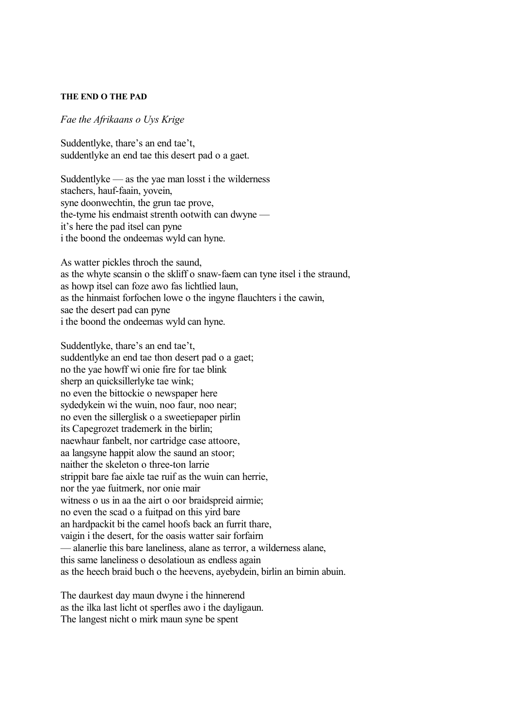### **THE END O THE PAD**

## *Fae the Afrikaans o Uys Krige*

Suddentlyke, thare's an end tae't, suddentlyke an end tae this desert pad o a gaet.

Suddentlyke — as the yae man losst i the wilderness stachers, hauf-faain, yovein, syne doonwechtin, the grun tae prove, the-tyme his endmaist strenth ootwith can dwyne it's here the pad itsel can pyne i the boond the ondeemas wyld can hyne.

As watter pickles throch the saund, as the whyte scansin o the skliff o snaw-faem can tyne itsel i the straund, as howp itsel can foze awo fas lichtlied laun, as the hinmaist forfochen lowe o the ingyne flauchters i the cawin, sae the desert pad can pyne i the boond the ondeemas wyld can hyne.

Suddentlyke, thare's an end tae't, suddentlyke an end tae thon desert pad o a gaet; no the yae howff wi onie fire for tae blink sherp an quicksillerlyke tae wink; no even the bittockie o newspaper here sydedykein wi the wuin, noo faur, noo near; no even the sillerglisk o a sweetiepaper pirlin its Capegrozet trademerk in the birlin; naewhaur fanbelt, nor cartridge case attoore, aa langsyne happit alow the saund an stoor; naither the skeleton o three-ton larrie strippit bare fae aixle tae ruif as the wuin can herrie, nor the yae fuitmerk, nor onie mair witness o us in aa the airt o oor braidspreid airmie; no even the scad o a fuitpad on this yird bare an hardpackit bi the camel hoofs back an furrit thare, vaigin i the desert, for the oasis watter sair forfairn — alanerlie this bare laneliness, alane as terror, a wilderness alane, this same laneliness o desolatioun as endless again as the heech braid buch o the heevens, ayebydein, birlin an birnin abuin.

The daurkest day maun dwyne i the hinnerend as the ilka last licht ot sperfles awo i the dayligaun. The langest nicht o mirk maun syne be spent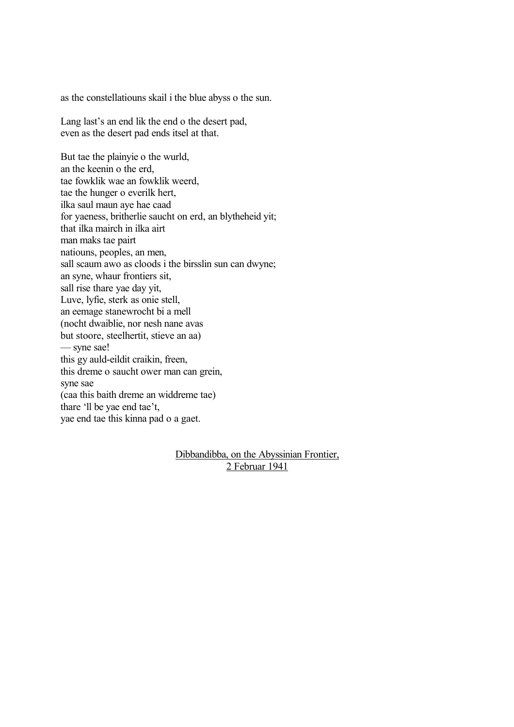as the constellatiouns skail i the blue abyss o the sun.

Lang last's an end lik the end o the desert pad, even as the desert pad ends itsel at that.

But tae the plainyie o the wurld, an the keenin o the erd, tae fowklik wae an fowklik weerd, tae the hunger o everilk hert, ilka saul maun aye hae caad for yaeness, britherlie saucht on erd, an blytheheid yit; that ilka mairch in ilka airt man maks tae pairt natiouns, peoples, an men, sall scaum awo as cloods i the birsslin sun can dwyne; an syne, whaur frontiers sit, sall rise thare yae day yit, Luve, lyfie, sterk as onie stell, an eemage stanewrocht bi a mell (nocht dwaiblie, nor nesh nane avas but stoore, steelhertit, stieve an aa) — syne sae! this gy auld-eildit craikin, freen, this dreme o saucht ower man can grein, syne sae (caa this baith dreme an widdreme tae) thare 'll be yae end tae't, yae end tae this kinna pad o a gaet.

> Dibbandibba, on the Abyssinian Frontier, 2 Februar 1941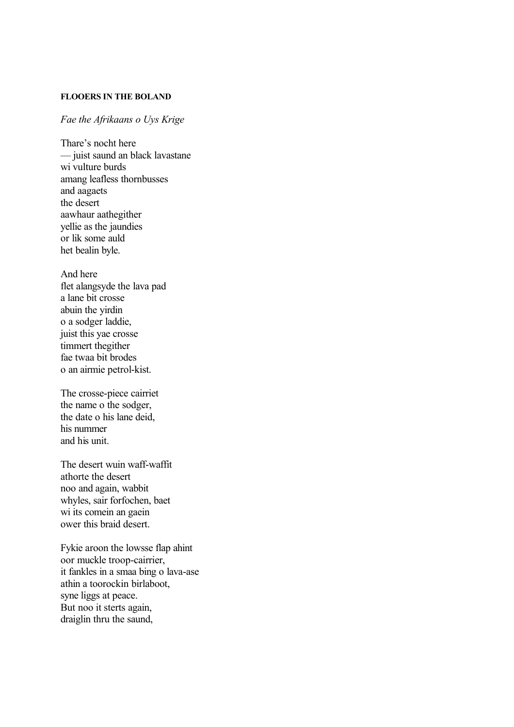### **FLOOERS IN THE BOLAND**

# *Fae the Afrikaans o Uys Krige*

Thare's nocht here — juist saund an black lavastane wi vulture burds amang leafless thornbusses and aagaets the desert aawhaur aathegither yellie as the jaundies or lik some auld het bealin byle.

### And here

flet alangsyde the lava pad a lane bit crosse abuin the yirdin o a sodger laddie, juist this yae crosse timmert thegither fae twaa bit brodes o an airmie petrol-kist.

The crosse-piece cairriet the name o the sodger, the date o his lane deid, his nummer and his unit.

The desert wuin waff-waffit athorte the desert noo and again, wabbit whyles, sair forfochen, baet wi its comein an gaein ower this braid desert.

Fykie aroon the lowsse flap ahint oor muckle troop-cairrier, it fankles in a smaa bing o lava-ase athin a toorockin birlaboot, syne liggs at peace. But noo it sterts again, draiglin thru the saund,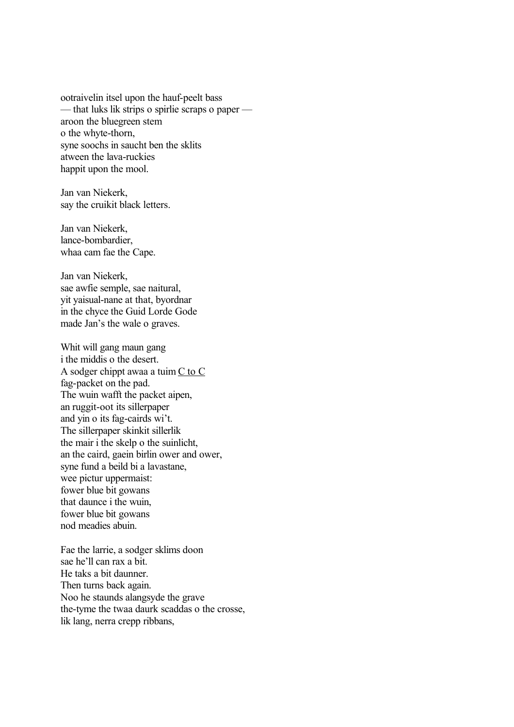ootraivelin itsel upon the hauf-peelt bass — that luks lik strips o spirlie scraps o paper aroon the bluegreen stem o the whyte-thorn, syne soochs in saucht ben the sklits atween the lava-ruckies happit upon the mool.

Jan van Niekerk, say the cruikit black letters.

Jan van Niekerk, lance-bombardier, whaa cam fae the Cape.

Jan van Niekerk, sae awfie semple, sae naitural, yit yaisual-nane at that, byordnar in the chyce the Guid Lorde Gode made Jan's the wale o graves.

Whit will gang maun gang i the middis o the desert. A sodger chippt awaa a tuim  $C$  to  $C$ fag-packet on the pad. The wuin wafft the packet aipen, an ruggit-oot its sillerpaper and yin o its fag-cairds wi't. The sillerpaper skinkit sillerlik the mair i the skelp o the suinlicht, an the caird, gaein birlin ower and ower, syne fund a beild bi a lavastane, wee pictur uppermaist: fower blue bit gowans that daunce i the wuin, fower blue bit gowans nod meadies abuin.

Fae the larrie, a sodger sklims doon sae he'll can rax a bit. He taks a bit daunner. Then turns back again. Noo he staunds alangsyde the grave the-tyme the twaa daurk scaddas o the crosse, lik lang, nerra crepp ribbans,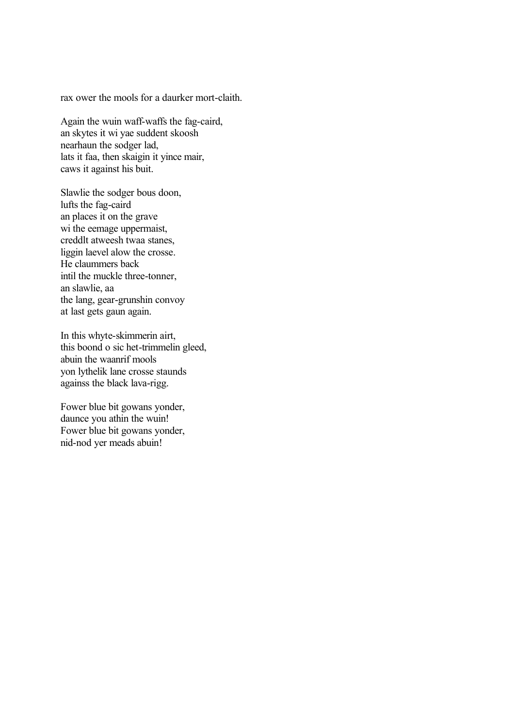rax ower the mools for a daurker mort-claith.

Again the wuin waff-waffs the fag-caird, an skytes it wi yae suddent skoosh nearhaun the sodger lad, lats it faa, then skaigin it yince mair, caws it against his buit.

Slawlie the sodger bous doon, lufts the fag-caird an places it on the grave wi the eemage uppermaist, creddlt atweesh twaa stanes, liggin laevel alow the crosse. He claummers back intil the muckle three-tonner, an slawlie, aa the lang, gear-grunshin convoy at last gets gaun again.

In this whyte-skimmerin airt, this boond o sic het-trimmelin gleed, abuin the waanrif mools yon lythelik lane crosse staunds againss the black lava-rigg.

Fower blue bit gowans yonder, daunce you athin the wuin! Fower blue bit gowans yonder, nid-nod yer meads abuin!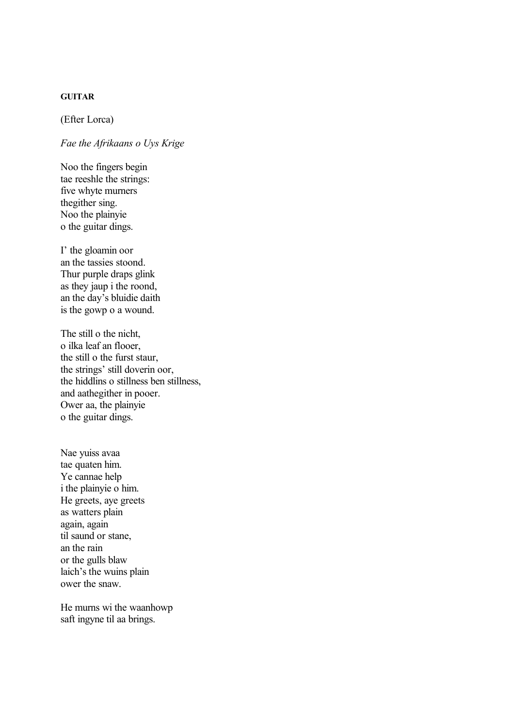## **GUITAR**

(Efter Lorca)

*Fae the Afrikaans o Uys Krige*

Noo the fingers begin tae reeshle the strings: five whyte murners thegither sing. Noo the plainyie o the guitar dings.

I' the gloamin oor an the tassies stoond. Thur purple draps glink as they jaup i the roond, an the day's bluidie daith is the gowp o a wound.

The still o the nicht, o ilka leaf an flooer, the still o the furst staur, the strings' still doverin oor, the hiddlins o stillness ben stillness, and aathegither in pooer. Ower aa, the plainyie o the guitar dings.

Nae yuiss avaa tae quaten him. Ye cannae help i the plainyie o him. He greets, aye greets as watters plain again, again til saund or stane, an the rain or the gulls blaw laich's the wuins plain ower the snaw.

He murns wi the waanhowp saft ingyne til aa brings.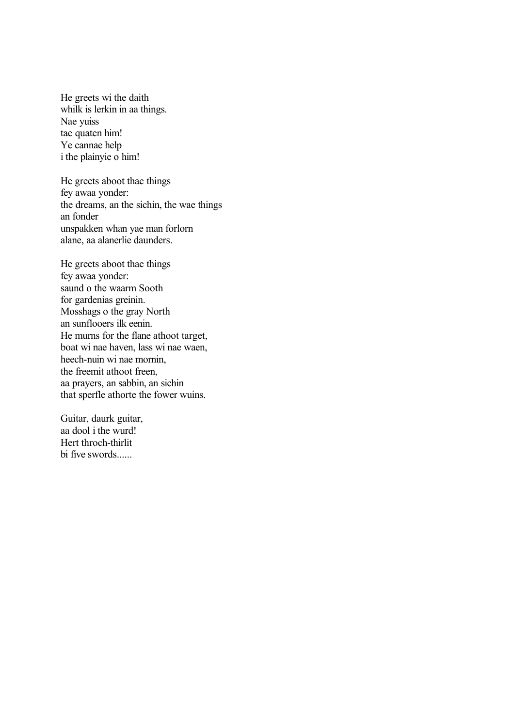He greets wi the daith whilk is lerkin in aa things. Nae yuiss tae quaten him! Ye cannae help i the plainyie o him!

He greets aboot thae things fey awaa yonder: the dreams, an the sichin, the wae things an fonder unspakken whan yae man forlorn alane, aa alanerlie daunders.

He greets aboot thae things fey awaa yonder: saund o the waarm Sooth for gardenias greinin. Mosshags o the gray North an sunflooers ilk eenin. He murns for the flane athoot target, boat wi nae haven, lass wi nae waen, heech-nuin wi nae mornin, the freemit athoot freen, aa prayers, an sabbin, an sichin that sperfle athorte the fower wuins.

Guitar, daurk guitar, aa dool i the wurd! Hert throch-thirlit bi five swords......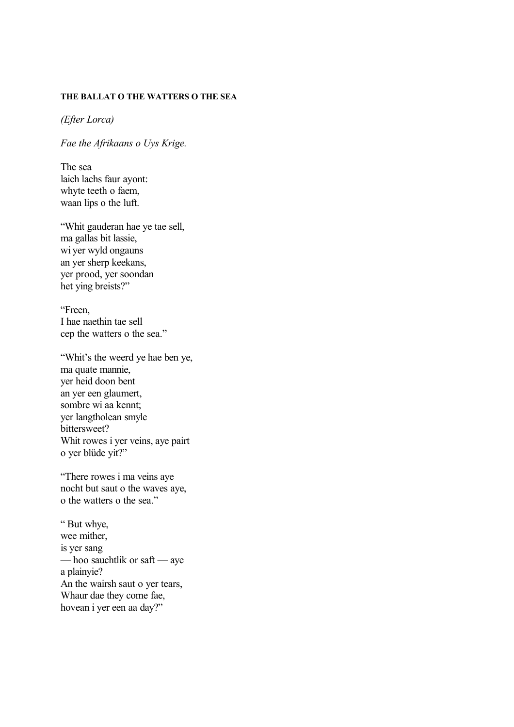### **THE BALLAT O THE WATTERS O THE SEA**

*(Efter Lorca)*

*Fae the Afrikaans o Uys Krige.*

The sea laich lachs faur ayont: whyte teeth o faem, waan lips o the luft.

"Whit gauderan hae ye tae sell, ma gallas bit lassie, wi yer wyld ongauns an yer sherp keekans, yer prood, yer soondan het ying breists?"

"Freen, I hae naethin tae sell cep the watters o the sea."

"Whit's the weerd ye hae ben ye, ma quate mannie, yer heid doon bent an yer een glaumert, sombre wi aa kennt; yer langtholean smyle bittersweet? Whit rowes i yer veins, aye pairt o yer blüde yit?"

"There rowes i ma veins aye nocht but saut o the waves aye, o the watters o the sea."

" But whye, wee mither, is yer sang — hoo sauchtlik or saft — aye a plainyie? An the wairsh saut o yer tears, Whaur dae they come fae, hovean i yer een aa day?"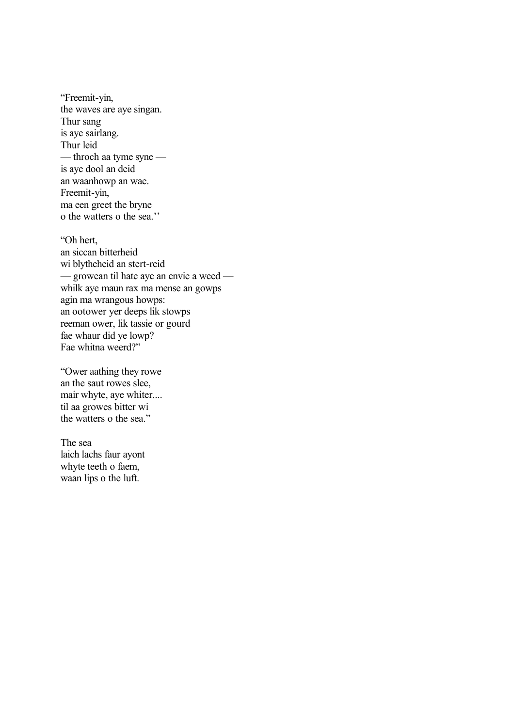"Freemit-yin, the waves are aye singan. Thur sang is aye sairlang. Thur leid — throch aa tyme syne is aye dool an deid an waanhowp an wae. Freemit-yin, ma een greet the bryne o the watters o the sea.''

"Oh hert, an siccan bitterheid wi blytheheid an stert-reid — growean til hate aye an envie a weed whilk aye maun rax ma mense an gowps agin ma wrangous howps: an ootower yer deeps lik stowps reeman ower, lik tassie or gourd fae whaur did ye lowp? Fae whitna weerd?"

"Ower aathing they rowe an the saut rowes slee, mair whyte, aye whiter.... til aa growes bitter wi the watters o the sea."

The sea laich lachs faur ayont whyte teeth o faem, waan lips o the luft.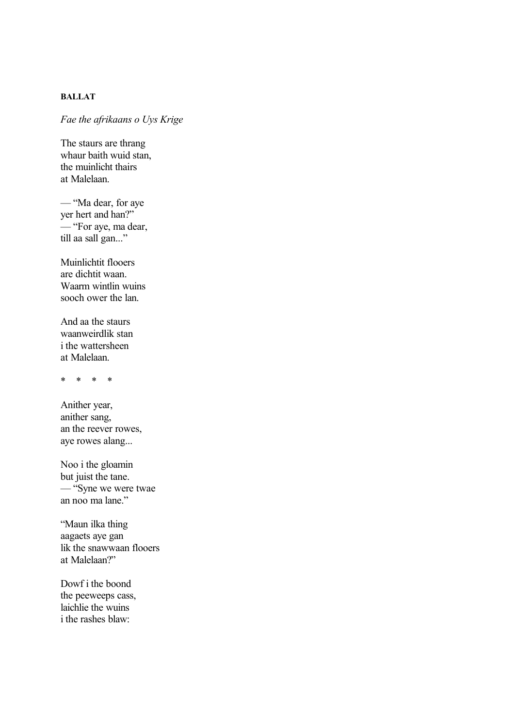## **BALLAT**

*Fae the afrikaans o Uys Krige*

The staurs are thrang whaur baith wuid stan, the muinlicht thairs at Malelaan.

— "Ma dear, for aye yer hert and han?" — "For aye, ma dear, till aa sall gan..."

Muinlichtit flooers are dichtit waan. Waarm wintlin wuins sooch ower the lan.

And aa the staurs waanweirdlik stan i the wattersheen at Malelaan.

\* \* \* \*

Anither year, anither sang, an the reever rowes, aye rowes alang...

Noo i the gloamin but juist the tane. — "Syne we were twae an noo ma lane."

"Maun ilka thing aagaets aye gan lik the snawwaan flooers at Malelaan?"

Dowf i the boond the peeweeps cass, laichlie the wuins i the rashes blaw: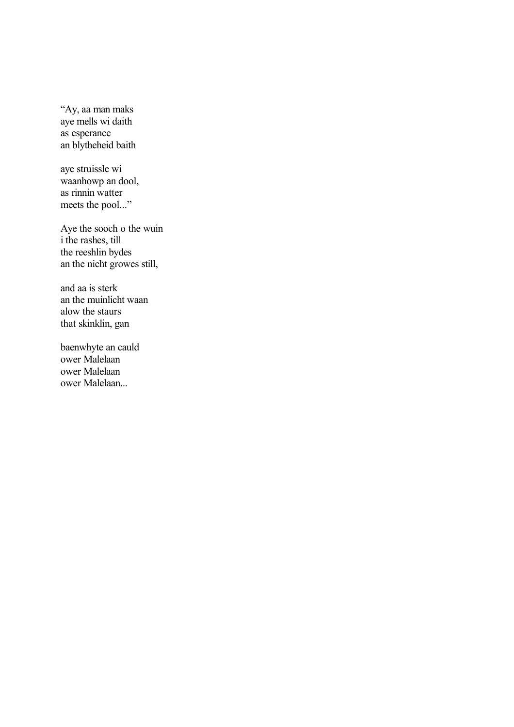"Ay, aa man maks aye mells wi daith as esperance an blytheheid baith

aye struissle wi waanhowp an dool, as rinnin watter meets the pool..."

Aye the sooch o the wuin i the rashes, till the reeshlin bydes an the nicht growes still,

and aa is sterk an the muinlicht waan alow the staurs that skinklin, gan

baenwhyte an cauld ower Malelaan ower Malelaan ower Malelaan...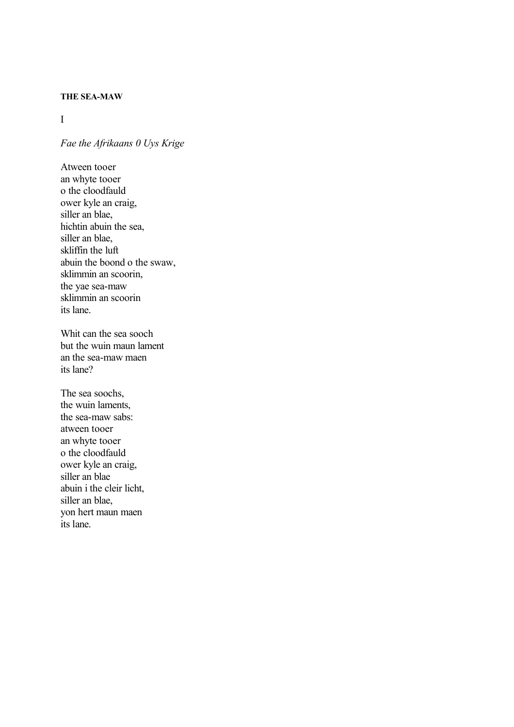#### **THE SEA-MAW**

# I

# *Fae the Afrikaans 0 Uys Krige*

Atween tooer an whyte tooer o the cloodfauld ower kyle an craig, siller an blae, hichtin abuin the sea, siller an blae, skliffin the luft abuin the boond o the swaw, sklimmin an scoorin, the yae sea-maw sklimmin an scoorin its lane.

Whit can the sea sooch but the wuin maun lament an the sea-maw maen its lane?

The sea soochs, the wuin laments, the sea-maw sabs: atween tooer an whyte tooer o the cloodfauld ower kyle an craig, siller an blae abuin i the cleir licht, siller an blae, yon hert maun maen its lane.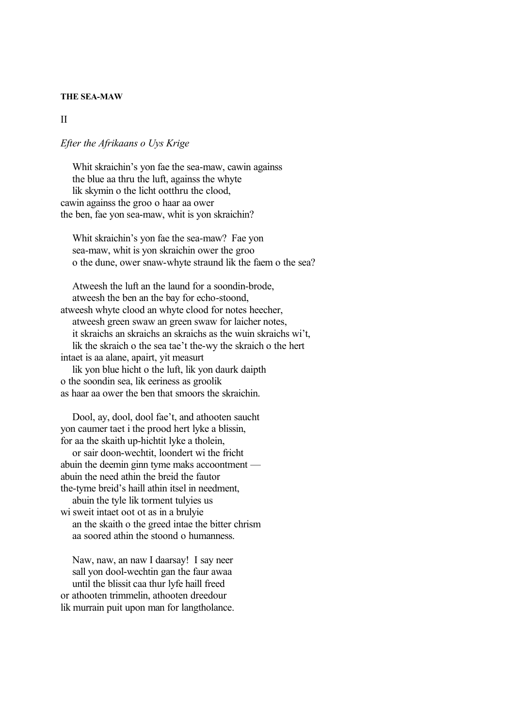#### **THE SEA-MAW**

### II

*Efter the Afrikaans o Uys Krige*

Whit skraichin's yon fae the sea-maw, cawin againss the blue aa thru the luft, againss the whyte lik skymin o the licht ootthru the clood, cawin againss the groo o haar aa ower the ben, fae yon sea-maw, whit is yon skraichin?

Whit skraichin's yon fae the sea-maw? Fae yon sea-maw, whit is yon skraichin ower the groo o the dune, ower snaw-whyte straund lik the faem o the sea?

Atweesh the luft an the laund for a soondin-brode, atweesh the ben an the bay for echo-stoond, atweesh whyte clood an whyte clood for notes heecher, atweesh green swaw an green swaw for laicher notes, it skraichs an skraichs an skraichs as the wuin skraichs wi't, lik the skraich o the sea tae't the-wy the skraich o the hert intaet is aa alane, apairt, yit measurt

lik yon blue hicht o the luft, lik yon daurk daipth o the soondin sea, lik eeriness as groolik as haar aa ower the ben that smoors the skraichin.

Dool, ay, dool, dool fae't, and athooten saucht yon caumer taet i the prood hert lyke a blissin, for aa the skaith up-hichtit lyke a tholein,

or sair doon-wechtit, loondert wi the fricht abuin the deemin ginn tyme maks accoontment abuin the need athin the breid the fautor the-tyme breid's haill athin itsel in needment,

abuin the tyle lik torment tulyies us wi sweit intaet oot ot as in a brulyie an the skaith o the greed intae the bitter chrism aa soored athin the stoond o humanness.

Naw, naw, an naw I daarsay! I say neer sall yon dool-wechtin gan the faur awaa until the blissit caa thur lyfe haill freed or athooten trimmelin, athooten dreedour lik murrain puit upon man for langtholance.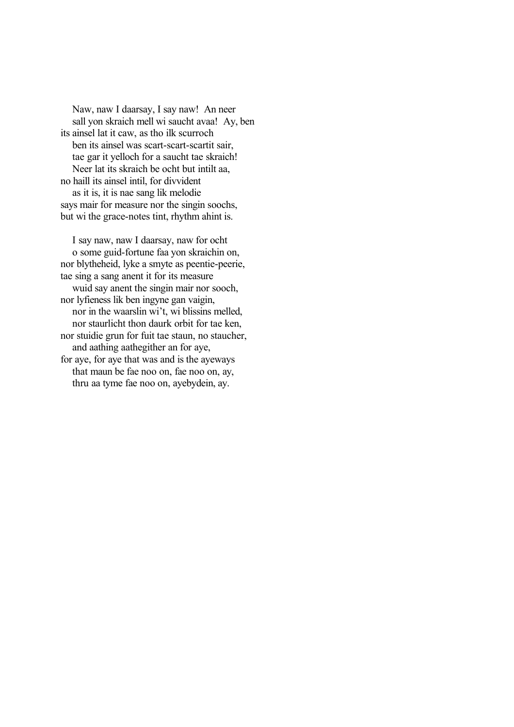Naw, naw I daarsay, I say naw! An neer sall yon skraich mell wi saucht avaa! Ay, ben its ainsel lat it caw, as tho ilk scurroch ben its ainsel was scart-scart-scartit sair, tae gar it yelloch for a saucht tae skraich! Neer lat its skraich be ocht but intilt aa, no haill its ainsel intil, for divvident as it is, it is nae sang lik melodie says mair for measure nor the singin soochs, but wi the grace-notes tint, rhythm ahint is.

I say naw, naw I daarsay, naw for ocht o some guid-fortune faa yon skraichin on, nor blytheheid, lyke a smyte as peentie-peerie, tae sing a sang anent it for its measure wuid say anent the singin mair nor sooch, nor lyfieness lik ben ingyne gan vaigin, nor in the waarslin wi't, wi blissins melled, nor staurlicht thon daurk orbit for tae ken, nor stuidie grun for fuit tae staun, no staucher, and aathing aathegither an for aye, for aye, for aye that was and is the ayeways that maun be fae noo on, fae noo on, ay, thru aa tyme fae noo on, ayebydein, ay.